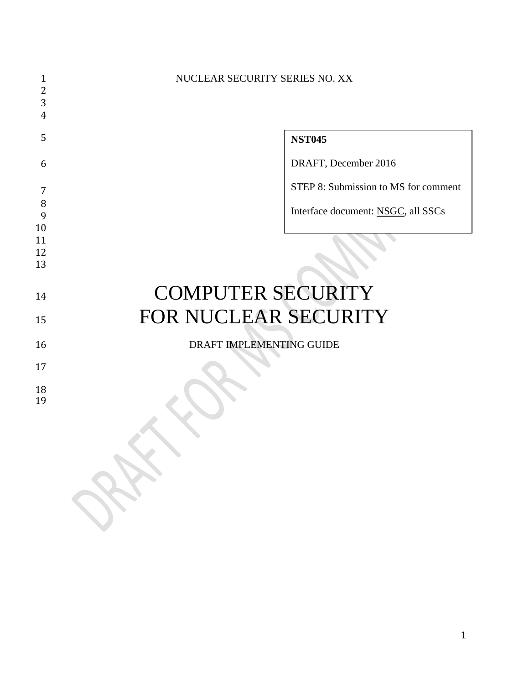| 1        | NUCLEAR SECURITY SERIES NO. XX       |
|----------|--------------------------------------|
| 2        |                                      |
| 3        |                                      |
| 4        |                                      |
| 5        | <b>NST045</b>                        |
| 6        | DRAFT, December 2016                 |
| 7        | STEP 8: Submission to MS for comment |
| 8        |                                      |
| 9        | Interface document: NSGC, all SSCs   |
| 10       |                                      |
| 11       |                                      |
| 12       |                                      |
| 13       |                                      |
|          |                                      |
| 14       | <b>COMPUTER SECURITY</b>             |
| 15       | FOR NUCLEAR SECURITY                 |
| 16       | DRAFT IMPLEMENTING GUIDE             |
| 17       |                                      |
| 18<br>19 |                                      |
|          |                                      |
|          | $\bigtriangledown$                   |
|          |                                      |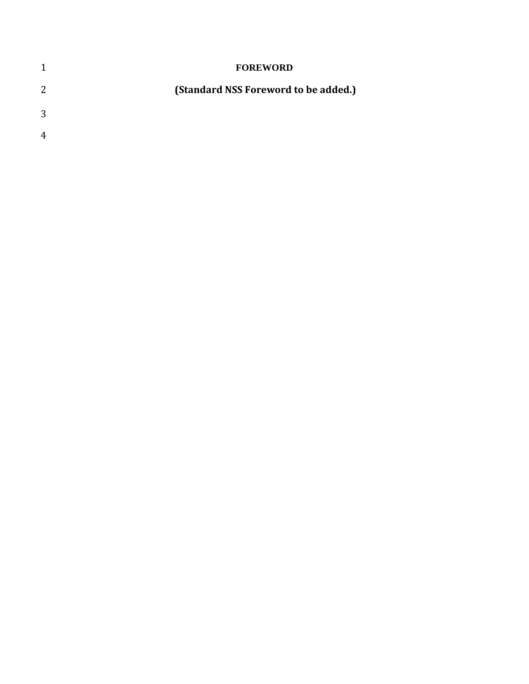| 1                | <b>FOREWORD</b>                      |
|------------------|--------------------------------------|
| 2                | (Standard NSS Foreword to be added.) |
| 3                |                                      |
| $\boldsymbol{A}$ |                                      |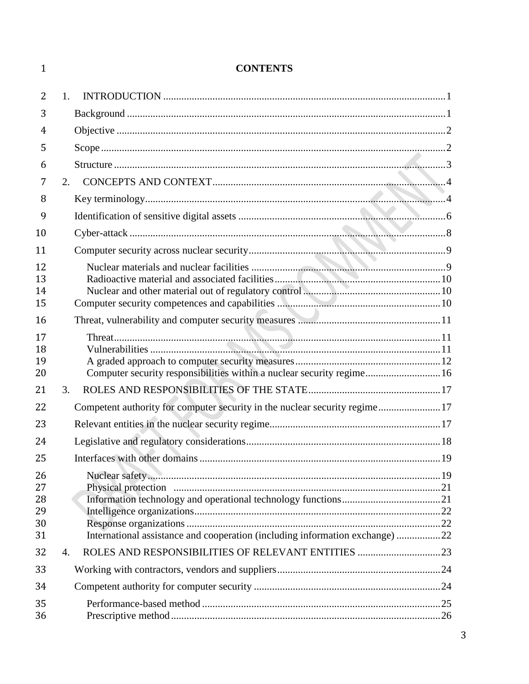| 1        |                | <b>CONTENTS</b>                                                              |    |
|----------|----------------|------------------------------------------------------------------------------|----|
| 2        | 1 <sub>1</sub> |                                                                              |    |
| 3        |                |                                                                              |    |
| 4        |                |                                                                              |    |
| 5        |                |                                                                              |    |
| 6        |                |                                                                              |    |
| 7        |                | 2.                                                                           |    |
| 8        |                |                                                                              |    |
| 9        |                |                                                                              |    |
| 10       |                |                                                                              |    |
| 11       |                |                                                                              |    |
| 12       |                |                                                                              |    |
| 13       |                |                                                                              |    |
| 14<br>15 |                |                                                                              |    |
|          |                |                                                                              |    |
| 16       |                |                                                                              |    |
| 17<br>18 |                |                                                                              |    |
| 19       |                |                                                                              |    |
| 20       |                | Computer security responsibilities within a nuclear security regime 16       |    |
| 21       | 3.             |                                                                              |    |
| 22       |                | Competent authority for computer security in the nuclear security regime17   |    |
| 23       |                |                                                                              |    |
| 24       |                | Legislative and regulatory considerations                                    | 18 |
| 25       |                |                                                                              |    |
| 26       |                |                                                                              |    |
| 27       |                |                                                                              |    |
| 28<br>29 |                |                                                                              |    |
| 30       |                |                                                                              |    |
| 31       |                | International assistance and cooperation (including information exchange) 22 |    |
| 32       | 4.             |                                                                              |    |
| 33       |                |                                                                              |    |
| 34       |                |                                                                              |    |
| 35       |                |                                                                              |    |
| 36       |                |                                                                              |    |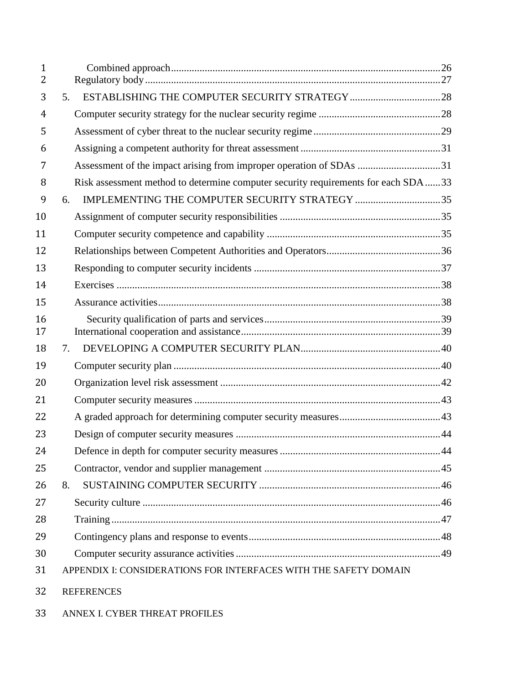| $\mathbf{1}$<br>2 |    |                                                                                   |  |
|-------------------|----|-----------------------------------------------------------------------------------|--|
| 3                 | 5. |                                                                                   |  |
| 4                 |    |                                                                                   |  |
| 5                 |    |                                                                                   |  |
| 6                 |    |                                                                                   |  |
| 7                 |    | Assessment of the impact arising from improper operation of SDAs 31               |  |
| 8                 |    | Risk assessment method to determine computer security requirements for each SDA33 |  |
| 9                 | 6. | IMPLEMENTING THE COMPUTER SECURITY STRATEGY 35                                    |  |
| 10                |    |                                                                                   |  |
| 11                |    |                                                                                   |  |
| 12                |    |                                                                                   |  |
| 13                |    |                                                                                   |  |
| 14                |    |                                                                                   |  |
| 15                |    |                                                                                   |  |
| 16<br>17          |    |                                                                                   |  |
| 18                | 7. |                                                                                   |  |
| 19                |    |                                                                                   |  |
| 20                |    |                                                                                   |  |
| 21                |    |                                                                                   |  |
| 22                |    |                                                                                   |  |
| 23                |    |                                                                                   |  |
| 24                |    |                                                                                   |  |
| 25                |    |                                                                                   |  |
| 26                | 8. |                                                                                   |  |
| 27                |    |                                                                                   |  |
| 28                |    |                                                                                   |  |
| 29                |    |                                                                                   |  |
| 30                |    |                                                                                   |  |
| 31                |    | APPENDIX I: CONSIDERATIONS FOR INTERFACES WITH THE SAFETY DOMAIN                  |  |
| 32                |    | <b>REFERENCES</b>                                                                 |  |

ANNEX I. CYBER THREAT PROFILES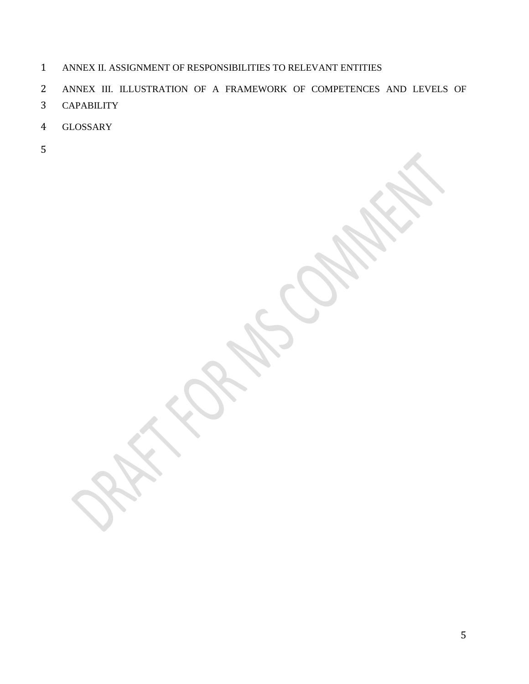- ANNEX II. ASSIGNMENT OF RESPONSIBILITIES TO RELEVANT ENTITIES
- ANNEX III. ILLUSTRATION OF A FRAMEWORK OF COMPETENCES AND LEVELS OF
- CAPABILITY
- GLOSSARY
-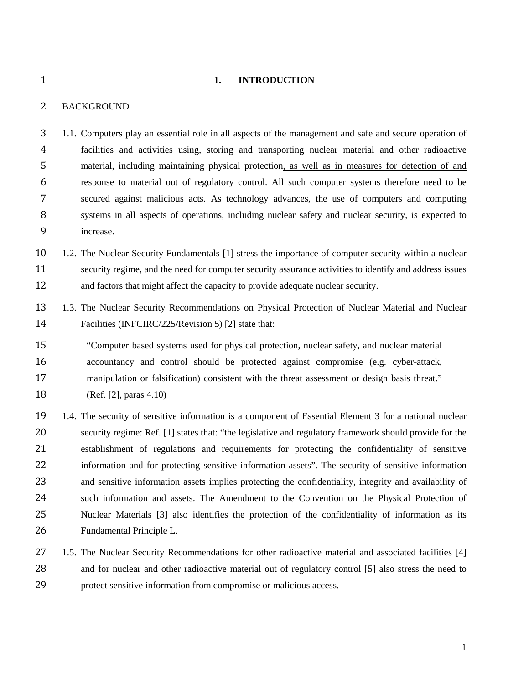<span id="page-6-0"></span>

#### **1. INTRODUCTION**

# <span id="page-6-1"></span>BACKGROUND

 1.1. Computers play an essential role in all aspects of the management and safe and secure operation of facilities and activities using, storing and transporting nuclear material and other radioactive material, including maintaining physical protection, as well as in measures for detection of and response to material out of regulatory control. All such computer systems therefore need to be secured against malicious acts. As technology advances, the use of computers and computing systems in all aspects of operations, including nuclear safety and nuclear security, is expected to increase.

 1.2. The Nuclear Security Fundamentals [1] stress the importance of computer security within a nuclear security regime, and the need for computer security assurance activities to identify and address issues and factors that might affect the capacity to provide adequate nuclear security.

 1.3. The Nuclear Security Recommendations on Physical Protection of Nuclear Material and Nuclear Facilities (INFCIRC/225/Revision 5) [2] state that:

 "Computer based systems used for physical protection, nuclear safety, and nuclear material accountancy and control should be protected against compromise (e.g. cyber-attack, manipulation or falsification) consistent with the threat assessment or design basis threat."

(Ref. [2], paras 4.10)

 1.4. The security of sensitive information is a component of Essential Element 3 for a national nuclear security regime: Ref. [1] states that: "the legislative and regulatory framework should provide for the establishment of regulations and requirements for protecting the confidentiality of sensitive information and for protecting sensitive information assets". The security of sensitive information and sensitive information assets implies protecting the confidentiality, integrity and availability of such information and assets. The Amendment to the Convention on the Physical Protection of Nuclear Materials [3] also identifies the protection of the confidentiality of information as its Fundamental Principle L.

27 1.5. The Nuclear Security Recommendations for other radioactive material and associated facilities [4] and for nuclear and other radioactive material out of regulatory control [5] also stress the need to protect sensitive information from compromise or malicious access.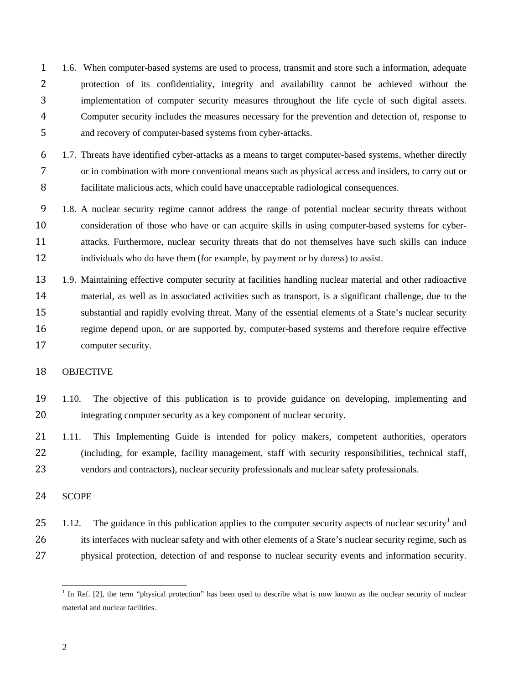- 1.6. When computer-based systems are used to process, transmit and store such a information, adequate protection of its confidentiality, integrity and availability cannot be achieved without the implementation of computer security measures throughout the life cycle of such digital assets. Computer security includes the measures necessary for the prevention and detection of, response to and recovery of computer-based systems from cyber-attacks.
- 1.7. Threats have identified cyber-attacks as a means to target computer-based systems, whether directly or in combination with more conventional means such as physical access and insiders, to carry out or facilitate malicious acts, which could have unacceptable radiological consequences.
- 1.8. A nuclear security regime cannot address the range of potential nuclear security threats without consideration of those who have or can acquire skills in using computer-based systems for cyber- attacks. Furthermore, nuclear security threats that do not themselves have such skills can induce individuals who do have them (for example, by payment or by duress) to assist.
- 1.9. Maintaining effective computer security at facilities handling nuclear material and other radioactive material, as well as in associated activities such as transport, is a significant challenge, due to the substantial and rapidly evolving threat. Many of the essential elements of a State's nuclear security regime depend upon, or are supported by, computer-based systems and therefore require effective computer security.

#### <span id="page-7-0"></span>OBJECTIVE

- 1.10. The objective of this publication is to provide guidance on developing, implementing and integrating computer security as a key component of nuclear security.
- 1.11. This Implementing Guide is intended for policy makers, competent authorities, operators (including, for example, facility management, staff with security responsibilities, technical staff, vendors and contractors), nuclear security professionals and nuclear safety professionals.

# <span id="page-7-1"></span>SCOPE

[1](#page-7-2).12. The guidance in this publication applies to the computer security aspects of nuclear security<sup>1</sup> and 26 its interfaces with nuclear safety and with other elements of a State's nuclear security regime, such as physical protection, detection of and response to nuclear security events and information security.

<span id="page-7-2"></span> $<sup>1</sup>$  In Ref. [2], the term "physical protection" has been used to describe what is now known as the nuclear security of nuclear</sup> material and nuclear facilities.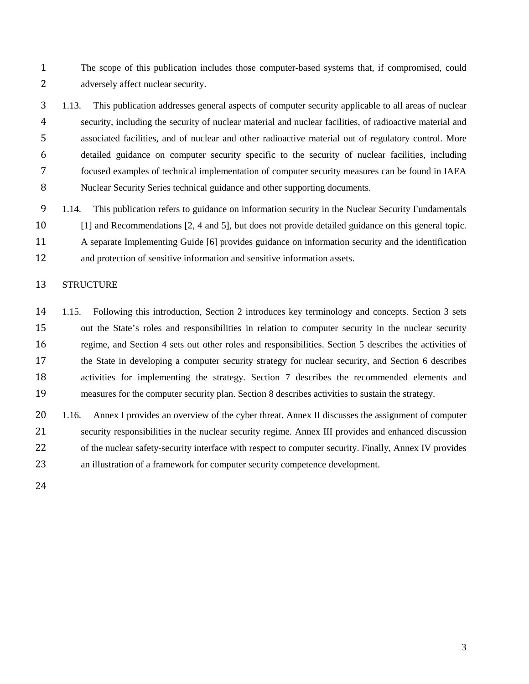The scope of this publication includes those computer-based systems that, if compromised, could adversely affect nuclear security.

 1.13. This publication addresses general aspects of computer security applicable to all areas of nuclear security, including the security of nuclear material and nuclear facilities, of radioactive material and associated facilities, and of nuclear and other radioactive material out of regulatory control. More detailed guidance on computer security specific to the security of nuclear facilities, including focused examples of technical implementation of computer security measures can be found in IAEA Nuclear Security Series technical guidance and other supporting documents.

 1.14. This publication refers to guidance on information security in the Nuclear Security Fundamentals [1] and Recommendations [2, 4 and 5], but does not provide detailed guidance on this general topic. A separate Implementing Guide [6] provides guidance on information security and the identification and protection of sensitive information and sensitive information assets.

# <span id="page-8-0"></span>STRUCTURE

 1.15. Following this introduction, Section 2 introduces key terminology and concepts. Section 3 sets out the State's roles and responsibilities in relation to computer security in the nuclear security regime, and Section 4 sets out other roles and responsibilities. Section 5 describes the activities of the State in developing a computer security strategy for nuclear security, and Section 6 describes activities for implementing the strategy. Section 7 describes the recommended elements and measures for the computer security plan. Section 8 describes activities to sustain the strategy.

 1.16. Annex I provides an overview of the cyber threat. Annex II discusses the assignment of computer security responsibilities in the nuclear security regime. Annex III provides and enhanced discussion 22 of the nuclear safety-security interface with respect to computer security. Finally, Annex IV provides an illustration of a framework for computer security competence development.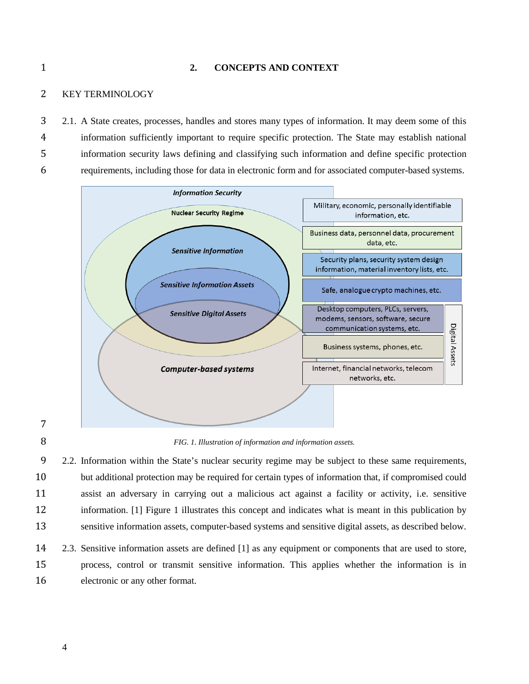#### <span id="page-9-0"></span>**2. CONCEPTS AND CONTEXT**

#### <span id="page-9-1"></span>KEY TERMINOLOGY

 2.1. A State creates, processes, handles and stores many types of information. It may deem some of this information sufficiently important to require specific protection. The State may establish national information security laws defining and classifying such information and define specific protection requirements, including those for data in electronic form and for associated computer-based systems.



*FIG. 1. Illustration of information and information assets.*

 2.2. Information within the State's nuclear security regime may be subject to these same requirements, but additional protection may be required for certain types of information that, if compromised could assist an adversary in carrying out a malicious act against a facility or activity, i.e. sensitive information. [1] Figure 1 illustrates this concept and indicates what is meant in this publication by sensitive information assets, computer-based systems and sensitive digital assets, as described below.

 2.3. Sensitive information assets are defined [1] as any equipment or components that are used to store, process, control or transmit sensitive information. This applies whether the information is in electronic or any other format.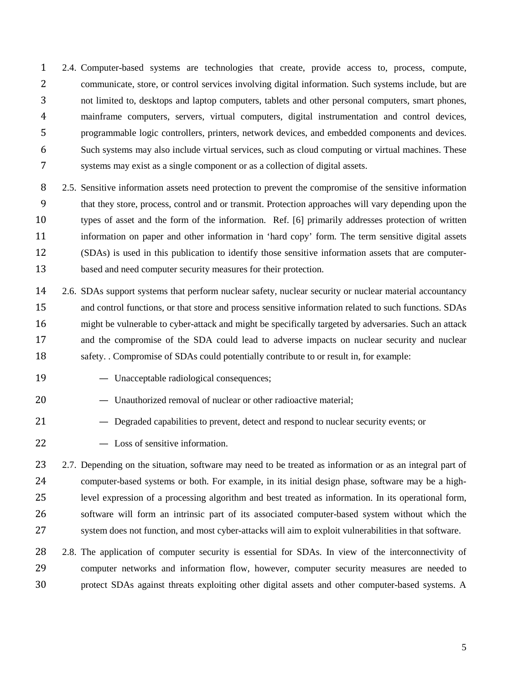2.4. Computer-based systems are technologies that create, provide access to, process, compute, communicate, store, or control services involving digital information. Such systems include, but are not limited to, desktops and laptop computers, tablets and other personal computers, smart phones, mainframe computers, servers, virtual computers, digital instrumentation and control devices, programmable logic controllers, printers, network devices, and embedded components and devices. Such systems may also include virtual services, such as cloud computing or virtual machines. These systems may exist as a single component or as a collection of digital assets.

- 8 2.5. Sensitive information assets need protection to prevent the compromise of the sensitive information that they store, process, control and or transmit. Protection approaches will vary depending upon the types of asset and the form of the information. Ref. [6] primarily addresses protection of written information on paper and other information in 'hard copy' form. The term sensitive digital assets (SDAs) is used in this publication to identify those sensitive information assets that are computer-based and need computer security measures for their protection.
- 2.6. SDAs support systems that perform nuclear safety, nuclear security or nuclear material accountancy and control functions, or that store and process sensitive information related to such functions. SDAs might be vulnerable to cyber-attack and might be specifically targeted by adversaries. Such an attack and the compromise of the SDA could lead to adverse impacts on nuclear security and nuclear 18 safety. . Compromise of SDAs could potentially contribute to or result in, for example:
- Unacceptable radiological consequences;
- 20 Unauthorized removal of nuclear or other radioactive material;
- Degraded capabilities to prevent, detect and respond to nuclear security events; or
- Loss of sensitive information.

2.7. Depending on the situation, software may need to be treated as information or as an integral part of computer-based systems or both. For example, in its initial design phase, software may be a high- level expression of a processing algorithm and best treated as information. In its operational form, software will form an intrinsic part of its associated computer-based system without which the system does not function, and most cyber-attacks will aim to exploit vulnerabilities in that software.

 2.8. The application of computer security is essential for SDAs. In view of the interconnectivity of computer networks and information flow, however, computer security measures are needed to protect SDAs against threats exploiting other digital assets and other computer-based systems. A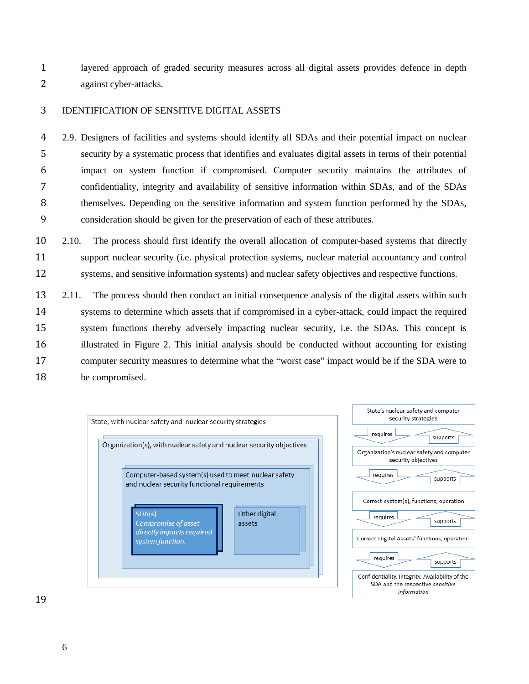layered approach of graded security measures across all digital assets provides defence in depth against cyber-attacks.

# <span id="page-11-0"></span>IDENTIFICATION OF SENSITIVE DIGITAL ASSETS

 2.9. Designers of facilities and systems should identify all SDAs and their potential impact on nuclear security by a systematic process that identifies and evaluates digital assets in terms of their potential impact on system function if compromised. Computer security maintains the attributes of confidentiality, integrity and availability of sensitive information within SDAs, and of the SDAs 8 themselves. Depending on the sensitive information and system function performed by the SDAs, consideration should be given for the preservation of each of these attributes.

- 2.10. The process should first identify the overall allocation of computer-based systems that directly support nuclear security (i.e. physical protection systems, nuclear material accountancy and control systems, and sensitive information systems) and nuclear safety objectives and respective functions.
- 2.11. The process should then conduct an initial consequence analysis of the digital assets within such systems to determine which assets that if compromised in a cyber-attack, could impact the required system functions thereby adversely impacting nuclear security, i.e. the SDAs. This concept is illustrated in Figure 2. This initial analysis should be conducted without accounting for existing computer security measures to determine what the "worst case" impact would be if the SDA were to be compromised.



supports

supports

supports

supports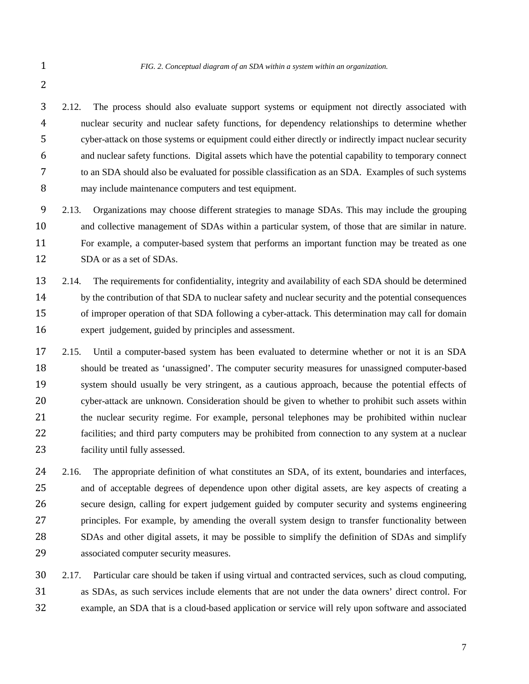2.12. The process should also evaluate support systems or equipment not directly associated with nuclear security and nuclear safety functions, for dependency relationships to determine whether cyber-attack on those systems or equipment could either directly or indirectly impact nuclear security and nuclear safety functions. Digital assets which have the potential capability to temporary connect to an SDA should also be evaluated for possible classification as an SDA. Examples of such systems may include maintenance computers and test equipment.

 2.13. Organizations may choose different strategies to manage SDAs. This may include the grouping and collective management of SDAs within a particular system, of those that are similar in nature. For example, a computer-based system that performs an important function may be treated as one 12 SDA or as a set of SDAs.

 2.14. The requirements for confidentiality, integrity and availability of each SDA should be determined by the contribution of that SDA to nuclear safety and nuclear security and the potential consequences of improper operation of that SDA following a cyber-attack. This determination may call for domain expert judgement, guided by principles and assessment.

 2.15. Until a computer-based system has been evaluated to determine whether or not it is an SDA should be treated as 'unassigned'. The computer security measures for unassigned computer-based system should usually be very stringent, as a cautious approach, because the potential effects of cyber-attack are unknown. Consideration should be given to whether to prohibit such assets within the nuclear security regime. For example, personal telephones may be prohibited within nuclear facilities; and third party computers may be prohibited from connection to any system at a nuclear facility until fully assessed.

 2.16. The appropriate definition of what constitutes an SDA, of its extent, boundaries and interfaces, and of acceptable degrees of dependence upon other digital assets, are key aspects of creating a secure design, calling for expert judgement guided by computer security and systems engineering principles. For example, by amending the overall system design to transfer functionality between SDAs and other digital assets, it may be possible to simplify the definition of SDAs and simplify associated computer security measures.

 2.17. Particular care should be taken if using virtual and contracted services, such as cloud computing, as SDAs, as such services include elements that are not under the data owners' direct control. For example, an SDA that is a cloud-based application or service will rely upon software and associated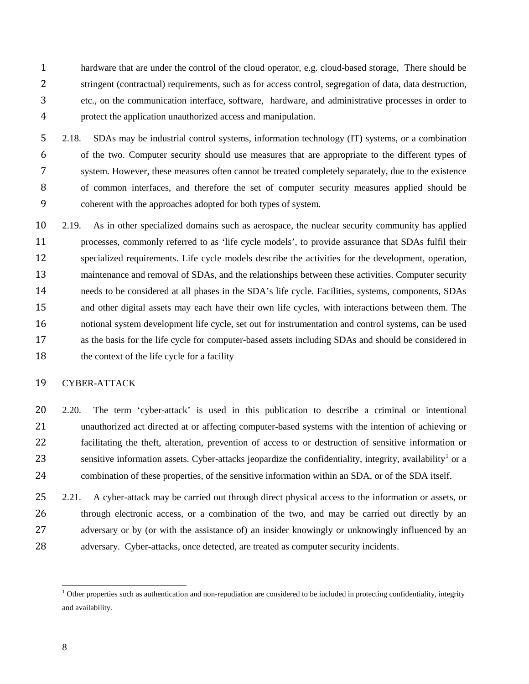hardware that are under the control of the cloud operator, e.g. cloud-based storage, There should be stringent (contractual) requirements, such as for access control, segregation of data, data destruction, etc., on the communication interface, software, hardware, and administrative processes in order to protect the application unauthorized access and manipulation.

 2.18. SDAs may be industrial control systems, information technology (IT) systems, or a combination of the two. Computer security should use measures that are appropriate to the different types of system. However, these measures often cannot be treated completely separately, due to the existence of common interfaces, and therefore the set of computer security measures applied should be coherent with the approaches adopted for both types of system.

 2.19. As in other specialized domains such as aerospace, the nuclear security community has applied processes, commonly referred to as 'life cycle models', to provide assurance that SDAs fulfil their specialized requirements. Life cycle models describe the activities for the development, operation, 13 maintenance and removal of SDAs, and the relationships between these activities. Computer security needs to be considered at all phases in the SDA's life cycle. Facilities, systems, components, SDAs and other digital assets may each have their own life cycles, with interactions between them. The notional system development life cycle, set out for instrumentation and control systems, can be used as the basis for the life cycle for computer-based assets including SDAs and should be considered in 18 the context of the life cycle for a facility

#### <span id="page-13-0"></span>CYBER-ATTACK

 2.20. The term 'cyber-attack' is used in this publication to describe a criminal or intentional unauthorized act directed at or affecting computer-based systems with the intention of achieving or facilitating the theft, alteration, prevention of access to or destruction of sensitive information or 23 sensitive information assets. Cyber-attacks jeopardize the confidentiality, integrity, availability<sup>[1](#page-13-1)</sup> or a combination of these properties, of the sensitive information within an SDA, or of the SDA itself.

25 2.21. A cyber-attack may be carried out through direct physical access to the information or assets, or 26 through electronic access, or a combination of the two, and may be carried out directly by an 27 adversary or by (or with the assistance of) an insider knowingly or unknowingly influenced by an 28 adversary. Cyber-attacks, once detected, are treated as computer security incidents.

<span id="page-13-1"></span> $<sup>1</sup>$  Other properties such as authentication and non-repudiation are considered to be included in protecting confidentiality, integrity</sup> and availability.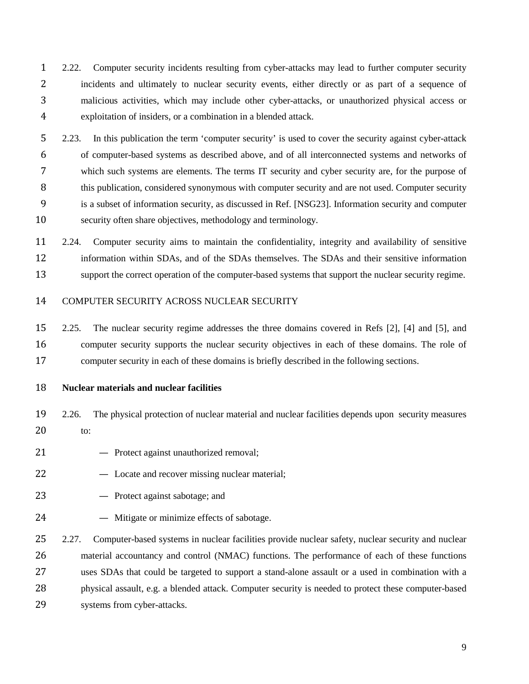- 2.22. Computer security incidents resulting from cyber-attacks may lead to further computer security incidents and ultimately to nuclear security events, either directly or as part of a sequence of malicious activities, which may include other cyber-attacks, or unauthorized physical access or exploitation of insiders, or a combination in a blended attack.
- 2.23. In this publication the term 'computer security' is used to cover the security against cyber-attack of computer-based systems as described above, and of all interconnected systems and networks of which such systems are elements. The terms IT security and cyber security are, for the purpose of 8 this publication, considered synonymous with computer security and are not used. Computer security is a subset of information security, as discussed in Ref. [NSG23]. Information security and computer security often share objectives, methodology and terminology.
- 2.24. Computer security aims to maintain the confidentiality, integrity and availability of sensitive information within SDAs, and of the SDAs themselves. The SDAs and their sensitive information support the correct operation of the computer-based systems that support the nuclear security regime.

# <span id="page-14-0"></span>COMPUTER SECURITY ACROSS NUCLEAR SECURITY

 2.25. The nuclear security regime addresses the three domains covered in Refs [2], [4] and [5], and computer security supports the nuclear security objectives in each of these domains. The role of computer security in each of these domains is briefly described in the following sections.

#### <span id="page-14-1"></span>**Nuclear materials and nuclear facilities**

- 2.26. The physical protection of nuclear material and nuclear facilities depends upon security measures to:
- Protect against unauthorized removal;
- Locate and recover missing nuclear material;
- Protect against sabotage; and
- Mitigate or minimize effects of sabotage.
- 25 2.27. Computer-based systems in nuclear facilities provide nuclear safety, nuclear security and nuclear material accountancy and control (NMAC) functions. The performance of each of these functions uses SDAs that could be targeted to support a stand-alone assault or a used in combination with a physical assault, e.g. a blended attack. Computer security is needed to protect these computer-based systems from cyber-attacks.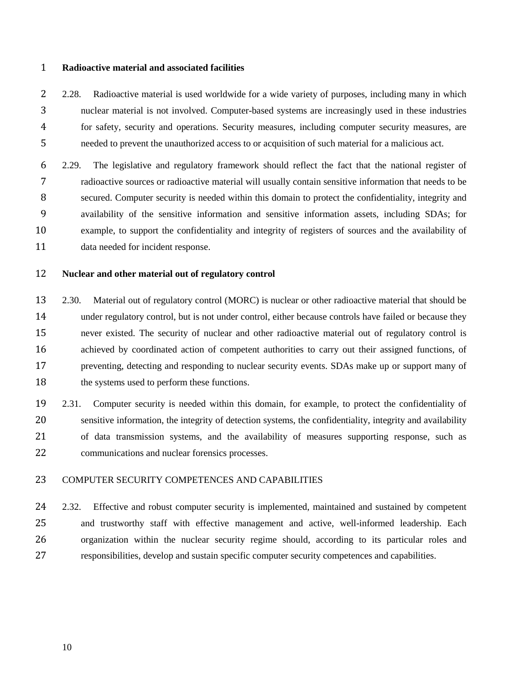#### <span id="page-15-0"></span>**Radioactive material and associated facilities**

 2.28. Radioactive material is used worldwide for a wide variety of purposes, including many in which nuclear material is not involved. Computer-based systems are increasingly used in these industries for safety, security and operations. Security measures, including computer security measures, are needed to prevent the unauthorized access to or acquisition of such material for a malicious act.

 2.29. The legislative and regulatory framework should reflect the fact that the national register of radioactive sources or radioactive material will usually contain sensitive information that needs to be secured. Computer security is needed within this domain to protect the confidentiality, integrity and availability of the sensitive information and sensitive information assets, including SDAs; for example, to support the confidentiality and integrity of registers of sources and the availability of data needed for incident response.

#### <span id="page-15-1"></span>**Nuclear and other material out of regulatory control**

 2.30. Material out of regulatory control (MORC) is nuclear or other radioactive material that should be under regulatory control, but is not under control, either because controls have failed or because they never existed. The security of nuclear and other radioactive material out of regulatory control is achieved by coordinated action of competent authorities to carry out their assigned functions, of preventing, detecting and responding to nuclear security events. SDAs make up or support many of the systems used to perform these functions.

 2.31. Computer security is needed within this domain, for example, to protect the confidentiality of sensitive information, the integrity of detection systems, the confidentiality, integrity and availability of data transmission systems, and the availability of measures supporting response, such as communications and nuclear forensics processes.

# <span id="page-15-2"></span>COMPUTER SECURITY COMPETENCES AND CAPABILITIES

 2.32. Effective and robust computer security is implemented, maintained and sustained by competent and trustworthy staff with effective management and active, well-informed leadership. Each organization within the nuclear security regime should, according to its particular roles and responsibilities, develop and sustain specific computer security competences and capabilities.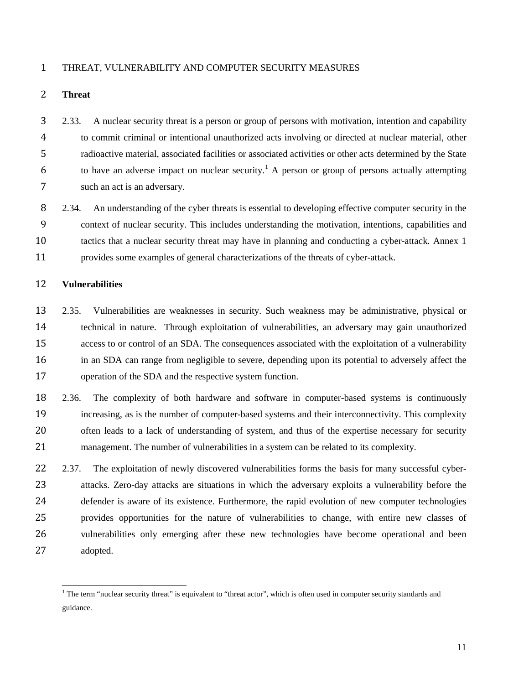#### <span id="page-16-0"></span>THREAT, VULNERABILITY AND COMPUTER SECURITY MEASURES

#### <span id="page-16-1"></span>**Threat**

 2.33. A nuclear security threat is a person or group of persons with motivation, intention and capability to commit criminal or intentional unauthorized acts involving or directed at nuclear material, other radioactive material, associated facilities or associated activities or other acts determined by the State 6 to have an adverse impact on nuclear security.<sup>[1](#page-16-3)</sup> A person or group of persons actually attempting such an act is an adversary.

8 2.34. An understanding of the cyber threats is essential to developing effective computer security in the context of nuclear security. This includes understanding the motivation, intentions, capabilities and tactics that a nuclear security threat may have in planning and conducting a cyber-attack. Annex 1 provides some examples of general characterizations of the threats of cyber-attack.

#### <span id="page-16-2"></span>**Vulnerabilities**

- 2.35. Vulnerabilities are weaknesses in security. Such weakness may be administrative, physical or technical in nature. Through exploitation of vulnerabilities, an adversary may gain unauthorized access to or control of an SDA. The consequences associated with the exploitation of a vulnerability in an SDA can range from negligible to severe, depending upon its potential to adversely affect the operation of the SDA and the respective system function.
- 2.36. The complexity of both hardware and software in computer-based systems is continuously increasing, as is the number of computer-based systems and their interconnectivity. This complexity often leads to a lack of understanding of system, and thus of the expertise necessary for security 21 management. The number of vulnerabilities in a system can be related to its complexity.
- 22 2.37. The exploitation of newly discovered vulnerabilities forms the basis for many successful cyber- attacks. Zero-day attacks are situations in which the adversary exploits a vulnerability before the defender is aware of its existence. Furthermore, the rapid evolution of new computer technologies provides opportunities for the nature of vulnerabilities to change, with entire new classes of vulnerabilities only emerging after these new technologies have become operational and been adopted.

<span id="page-16-3"></span> The term "nuclear security threat" is equivalent to "threat actor", which is often used in computer security standards and guidance.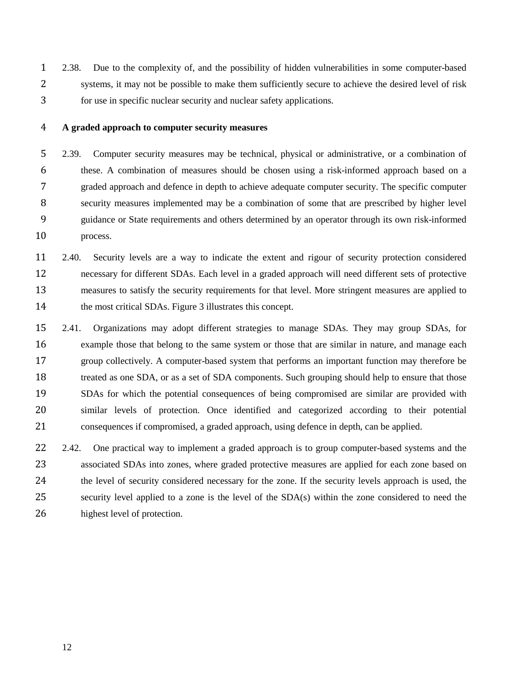2.38. Due to the complexity of, and the possibility of hidden vulnerabilities in some computer-based systems, it may not be possible to make them sufficiently secure to achieve the desired level of risk for use in specific nuclear security and nuclear safety applications.

#### <span id="page-17-0"></span>**A graded approach to computer security measures**

 2.39. Computer security measures may be technical, physical or administrative, or a combination of these. A combination of measures should be chosen using a risk-informed approach based on a graded approach and defence in depth to achieve adequate computer security. The specific computer security measures implemented may be a combination of some that are prescribed by higher level guidance or State requirements and others determined by an operator through its own risk-informed process.

 2.40. Security levels are a way to indicate the extent and rigour of security protection considered necessary for different SDAs. Each level in a graded approach will need different sets of protective measures to satisfy the security requirements for that level. More stringent measures are applied to 14 the most critical SDAs. Figure 3 illustrates this concept.

 2.41. Organizations may adopt different strategies to manage SDAs. They may group SDAs, for example those that belong to the same system or those that are similar in nature, and manage each group collectively. A computer-based system that performs an important function may therefore be treated as one SDA, or as a set of SDA components. Such grouping should help to ensure that those SDAs for which the potential consequences of being compromised are similar are provided with similar levels of protection. Once identified and categorized according to their potential consequences if compromised, a graded approach, using defence in depth, can be applied.

22 2.42. One practical way to implement a graded approach is to group computer-based systems and the associated SDAs into zones, where graded protective measures are applied for each zone based on the level of security considered necessary for the zone. If the security levels approach is used, the security level applied to a zone is the level of the SDA(s) within the zone considered to need the highest level of protection.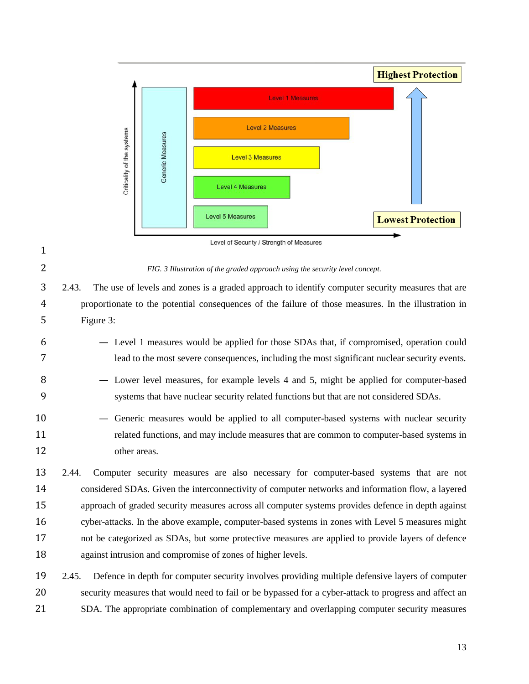

 2.43. The use of levels and zones is a graded approach to identify computer security measures that are proportionate to the potential consequences of the failure of those measures. In the illustration in Figure 3:

- Level 1 measures would be applied for those SDAs that, if compromised, operation could lead to the most severe consequences, including the most significant nuclear security events.
- Lower level measures, for example levels 4 and 5, might be applied for computer-based systems that have nuclear security related functions but that are not considered SDAs.
- Generic measures would be applied to all computer-based systems with nuclear security related functions, and may include measures that are common to computer-based systems in other areas.

 2.44. Computer security measures are also necessary for computer-based systems that are not considered SDAs. Given the interconnectivity of computer networks and information flow, a layered approach of graded security measures across all computer systems provides defence in depth against cyber-attacks. In the above example, computer-based systems in zones with Level 5 measures might not be categorized as SDAs, but some protective measures are applied to provide layers of defence against intrusion and compromise of zones of higher levels.

 2.45. Defence in depth for computer security involves providing multiple defensive layers of computer security measures that would need to fail or be bypassed for a cyber-attack to progress and affect an SDA. The appropriate combination of complementary and overlapping computer security measures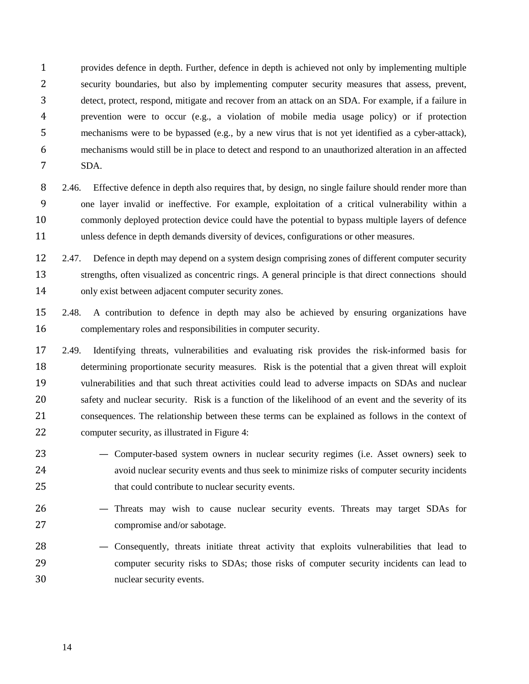provides defence in depth. Further, defence in depth is achieved not only by implementing multiple security boundaries, but also by implementing computer security measures that assess, prevent, detect, protect, respond, mitigate and recover from an attack on an SDA. For example, if a failure in prevention were to occur (e.g., a violation of mobile media usage policy) or if protection mechanisms were to be bypassed (e.g., by a new virus that is not yet identified as a cyber-attack), mechanisms would still be in place to detect and respond to an unauthorized alteration in an affected SDA.

- 8 2.46. Effective defence in depth also requires that, by design, no single failure should render more than one layer invalid or ineffective. For example, exploitation of a critical vulnerability within a commonly deployed protection device could have the potential to bypass multiple layers of defence unless defence in depth demands diversity of devices, configurations or other measures.
- 2.47. Defence in depth may depend on a system design comprising zones of different computer security 13 strengths, often visualized as concentric rings. A general principle is that direct connections should only exist between adjacent computer security zones.
- 2.48. A contribution to defence in depth may also be achieved by ensuring organizations have complementary roles and responsibilities in computer security.
- 2.49. Identifying threats, vulnerabilities and evaluating risk provides the risk-informed basis for determining proportionate security measures. Risk is the potential that a given threat will exploit vulnerabilities and that such threat activities could lead to adverse impacts on SDAs and nuclear safety and nuclear security. Risk is a function of the likelihood of an event and the severity of its consequences. The relationship between these terms can be explained as follows in the context of computer security, as illustrated in Figure 4:
- Computer-based system owners in nuclear security regimes (i.e. Asset owners) seek to avoid nuclear security events and thus seek to minimize risks of computer security incidents that could contribute to nuclear security events.
- Threats may wish to cause nuclear security events. Threats may target SDAs for compromise and/or sabotage.
- Consequently, threats initiate threat activity that exploits vulnerabilities that lead to computer security risks to SDAs; those risks of computer security incidents can lead to nuclear security events.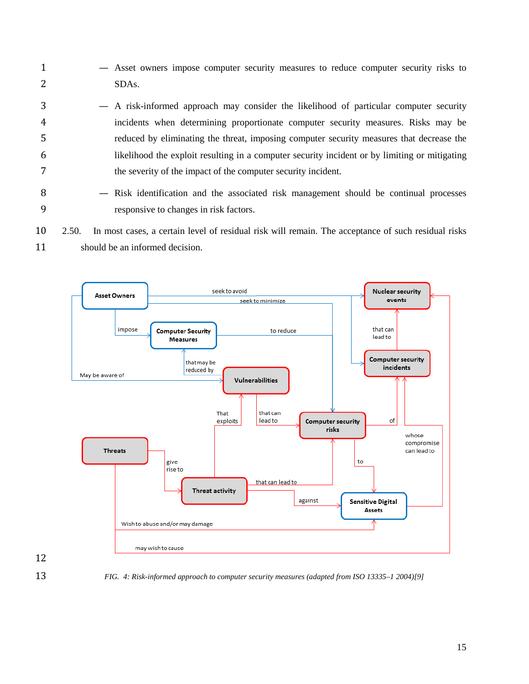- Asset owners impose computer security measures to reduce computer security risks to SDAs.
- A risk-informed approach may consider the likelihood of particular computer security incidents when determining proportionate computer security measures. Risks may be reduced by eliminating the threat, imposing computer security measures that decrease the likelihood the exploit resulting in a computer security incident or by limiting or mitigating the severity of the impact of the computer security incident.
- 8 Risk identification and the associated risk management should be continual processes responsive to changes in risk factors.
- 2.50. In most cases, a certain level of residual risk will remain. The acceptance of such residual risks should be an informed decision.



*FIG. 4: Risk-informed approach to computer security measures (adapted from ISO 13335–1 2004)[9]*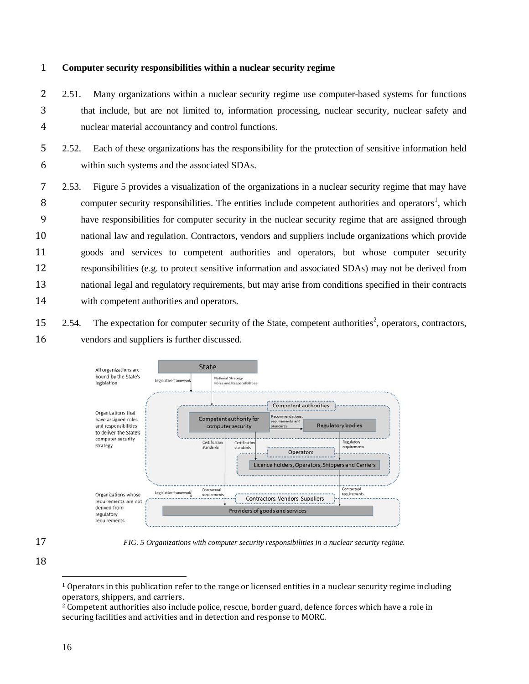#### <span id="page-21-0"></span>**Computer security responsibilities within a nuclear security regime**

2 2.51. Many organizations within a nuclear security regime use computer-based systems for functions that include, but are not limited to, information processing, nuclear security, nuclear safety and nuclear material accountancy and control functions.

 2.52. Each of these organizations has the responsibility for the protection of sensitive information held within such systems and the associated SDAs.

 2.53. Figure 5 provides a visualization of the organizations in a nuclear security regime that may have 8 computer security responsibilities. The entities include competent authorities and operators<sup>[1](#page-21-1)</sup>, which have responsibilities for computer security in the nuclear security regime that are assigned through national law and regulation. Contractors, vendors and suppliers include organizations which provide goods and services to competent authorities and operators, but whose computer security responsibilities (e.g. to protect sensitive information and associated SDAs) may not be derived from national legal and regulatory requirements, but may arise from conditions specified in their contracts with competent authorities and operators.

[2](#page-21-2).54. The expectation for computer security of the State, competent authorities<sup>2</sup>, operators, contractors, vendors and suppliers is further discussed.



<span id="page-21-1"></span>

*FIG. 5 Organizations with computer security responsibilities in a nuclear security regime.*

 Operators in this publication refer to the range or licensed entities in a nuclear security regime including operators, shippers, and carriers.

<span id="page-21-2"></span> Competent authorities also include police, rescue, border guard, defence forces which have a role in securing facilities and activities and in detection and response to MORC.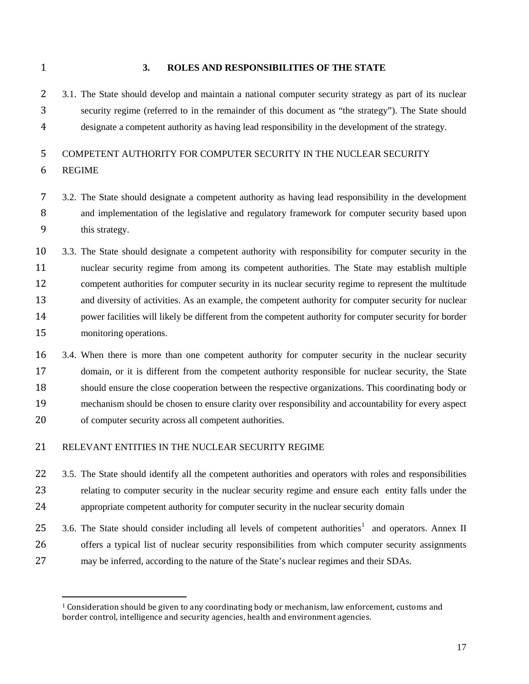<span id="page-22-0"></span>

#### **3. ROLES AND RESPONSIBILITIES OF THE STATE**

 3.1. The State should develop and maintain a national computer security strategy as part of its nuclear security regime (referred to in the remainder of this document as "the strategy"). The State should designate a competent authority as having lead responsibility in the development of the strategy.

# <span id="page-22-1"></span>COMPETENT AUTHORITY FOR COMPUTER SECURITY IN THE NUCLEAR SECURITY

- REGIME
- 3.2. The State should designate a competent authority as having lead responsibility in the development and implementation of the legislative and regulatory framework for computer security based upon this strategy.
- 3.3. The State should designate a competent authority with responsibility for computer security in the nuclear security regime from among its competent authorities. The State may establish multiple competent authorities for computer security in its nuclear security regime to represent the multitude and diversity of activities. As an example, the competent authority for computer security for nuclear 14 power facilities will likely be different from the competent authority for computer security for border monitoring operations.
- 3.4. When there is more than one competent authority for computer security in the nuclear security domain, or it is different from the competent authority responsible for nuclear security, the State should ensure the close cooperation between the respective organizations. This coordinating body or mechanism should be chosen to ensure clarity over responsibility and accountability for every aspect of computer security across all competent authorities.

# <span id="page-22-2"></span>RELEVANT ENTITIES IN THE NUCLEAR SECURITY REGIME

- 22 3.5. The State should identify all the competent authorities and operators with roles and responsibilities relating to computer security in the nuclear security regime and ensure each entity falls under the appropriate competent authority for computer security in the nuclear security domain
- 3.6. The State should consider including all levels of competent authorities<sup>[1](#page-22-3)</sup> and operators. Annex II offers a typical list of nuclear security responsibilities from which computer security assignments may be inferred, according to the nature of the State's nuclear regimes and their SDAs.

<span id="page-22-3"></span> Consideration should be given to any coordinating body or mechanism, law enforcement, customs and border control, intelligence and security agencies, health and environment agencies.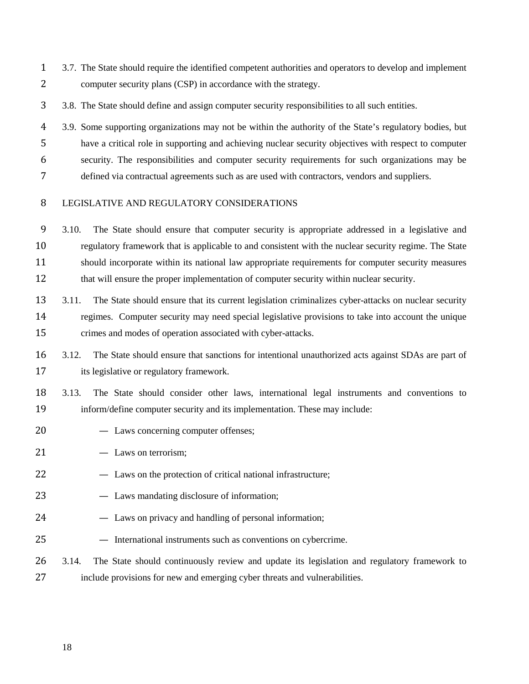3.7. The State should require the identified competent authorities and operators to develop and implement computer security plans (CSP) in accordance with the strategy.

3.8. The State should define and assign computer security responsibilities to all such entities.

 3.9. Some supporting organizations may not be within the authority of the State's regulatory bodies, but have a critical role in supporting and achieving nuclear security objectives with respect to computer security. The responsibilities and computer security requirements for such organizations may be defined via contractual agreements such as are used with contractors, vendors and suppliers.

#### <span id="page-23-0"></span>LEGISLATIVE AND REGULATORY CONSIDERATIONS

 3.10. The State should ensure that computer security is appropriate addressed in a legislative and regulatory framework that is applicable to and consistent with the nuclear security regime. The State should incorporate within its national law appropriate requirements for computer security measures 12 that will ensure the proper implementation of computer security within nuclear security.

- 3.11. The State should ensure that its current legislation criminalizes cyber-attacks on nuclear security regimes. Computer security may need special legislative provisions to take into account the unique crimes and modes of operation associated with cyber-attacks.
- 3.12. The State should ensure that sanctions for intentional unauthorized acts against SDAs are part of its legislative or regulatory framework.

 3.13. The State should consider other laws, international legal instruments and conventions to inform/define computer security and its implementation. These may include:

- Laws concerning computer offenses;
- 21 Laws on terrorism;
- Laws on the protection of critical national infrastructure;
- Laws mandating disclosure of information;
- Laws on privacy and handling of personal information;
- International instruments such as conventions on cybercrime.
- 3.14. The State should continuously review and update its legislation and regulatory framework to include provisions for new and emerging cyber threats and vulnerabilities.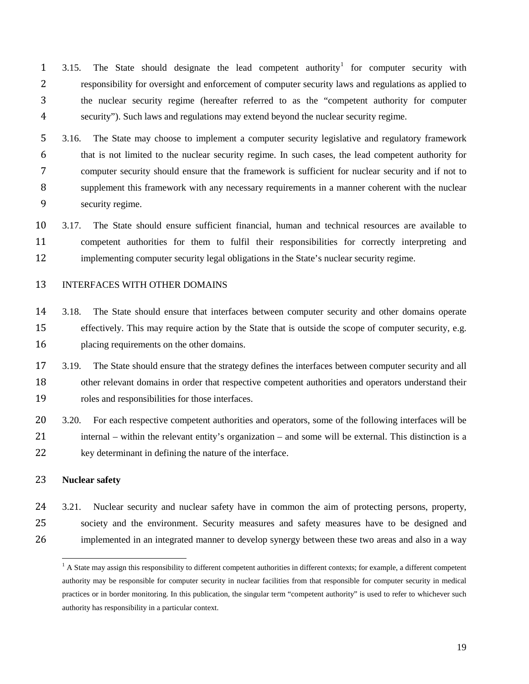3.15. The State should designate the lead competent authority<sup>1</sup> for computer security with responsibility for oversight and enforcement of computer security laws and regulations as applied to the nuclear security regime (hereafter referred to as the "competent authority for computer security"). Such laws and regulations may extend beyond the nuclear security regime.

 3.16. The State may choose to implement a computer security legislative and regulatory framework that is not limited to the nuclear security regime. In such cases, the lead competent authority for computer security should ensure that the framework is sufficient for nuclear security and if not to supplement this framework with any necessary requirements in a manner coherent with the nuclear security regime.

 3.17. The State should ensure sufficient financial, human and technical resources are available to competent authorities for them to fulfil their responsibilities for correctly interpreting and implementing computer security legal obligations in the State's nuclear security regime.

# <span id="page-24-0"></span>INTERFACES WITH OTHER DOMAINS

- 3.18. The State should ensure that interfaces between computer security and other domains operate effectively. This may require action by the State that is outside the scope of computer security, e.g. placing requirements on the other domains.
- 17 3.19. The State should ensure that the strategy defines the interfaces between computer security and all other relevant domains in order that respective competent authorities and operators understand their roles and responsibilities for those interfaces.
- 20 3.20. For each respective competent authorities and operators, some of the following interfaces will be internal – within the relevant entity's organization – and some will be external. This distinction is a 22 key determinant in defining the nature of the interface.

# <span id="page-24-1"></span>**Nuclear safety**

 3.21. Nuclear security and nuclear safety have in common the aim of protecting persons, property, society and the environment. Security measures and safety measures have to be designed and implemented in an integrated manner to develop synergy between these two areas and also in a way

<span id="page-24-2"></span> $<sup>1</sup>$  A State may assign this responsibility to different competent authorities in different contexts; for example, a different competent</sup> authority may be responsible for computer security in nuclear facilities from that responsible for computer security in medical practices or in border monitoring. In this publication, the singular term "competent authority" is used to refer to whichever such authority has responsibility in a particular context.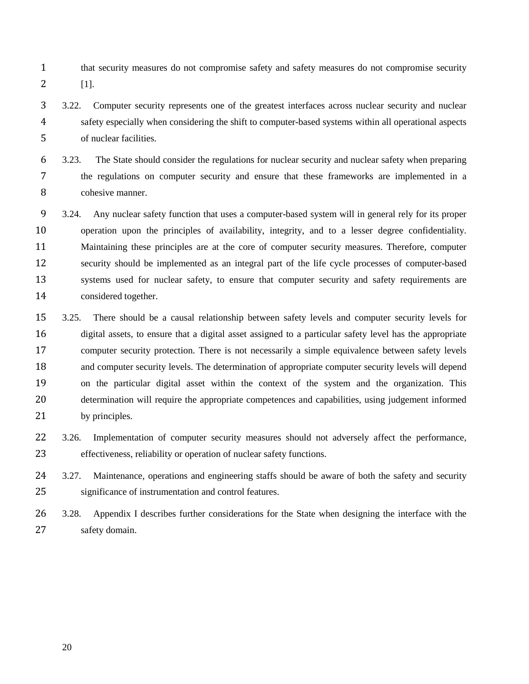- that security measures do not compromise safety and safety measures do not compromise security [1].
- 3.22. Computer security represents one of the greatest interfaces across nuclear security and nuclear safety especially when considering the shift to computer-based systems within all operational aspects of nuclear facilities.
- 3.23. The State should consider the regulations for nuclear security and nuclear safety when preparing the regulations on computer security and ensure that these frameworks are implemented in a cohesive manner.
- 3.24. Any nuclear safety function that uses a computer-based system will in general rely for its proper operation upon the principles of availability, integrity, and to a lesser degree confidentiality. Maintaining these principles are at the core of computer security measures. Therefore, computer security should be implemented as an integral part of the life cycle processes of computer-based 13 systems used for nuclear safety, to ensure that computer security and safety requirements are considered together.
- 3.25. There should be a causal relationship between safety levels and computer security levels for digital assets, to ensure that a digital asset assigned to a particular safety level has the appropriate computer security protection. There is not necessarily a simple equivalence between safety levels and computer security levels. The determination of appropriate computer security levels will depend on the particular digital asset within the context of the system and the organization. This determination will require the appropriate competences and capabilities, using judgement informed 21 by principles.
- 22 3.26. Implementation of computer security measures should not adversely affect the performance, effectiveness, reliability or operation of nuclear safety functions.
- 3.27. Maintenance, operations and engineering staffs should be aware of both the safety and security significance of instrumentation and control features.
- 3.28. Appendix I describes further considerations for the State when designing the interface with the safety domain.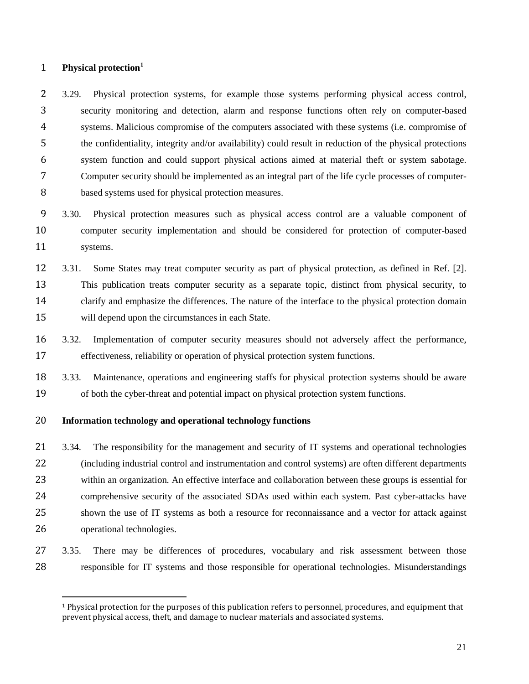# <span id="page-26-0"></span>**Physical protection[1](#page-26-2)**

 3.29. Physical protection systems, for example those systems performing physical access control, security monitoring and detection, alarm and response functions often rely on computer-based systems. Malicious compromise of the computers associated with these systems (i.e. compromise of the confidentiality, integrity and/or availability) could result in reduction of the physical protections system function and could support physical actions aimed at material theft or system sabotage. Computer security should be implemented as an integral part of the life cycle processes of computer-based systems used for physical protection measures.

 3.30. Physical protection measures such as physical access control are a valuable component of computer security implementation and should be considered for protection of computer-based systems.

 3.31. Some States may treat computer security as part of physical protection, as defined in Ref. [2]. This publication treats computer security as a separate topic, distinct from physical security, to clarify and emphasize the differences. The nature of the interface to the physical protection domain will depend upon the circumstances in each State.

 3.32. Implementation of computer security measures should not adversely affect the performance, effectiveness, reliability or operation of physical protection system functions.

 3.33. Maintenance, operations and engineering staffs for physical protection systems should be aware of both the cyber-threat and potential impact on physical protection system functions.

# <span id="page-26-1"></span>**Information technology and operational technology functions**

 3.34. The responsibility for the management and security of IT systems and operational technologies (including industrial control and instrumentation and control systems) are often different departments within an organization. An effective interface and collaboration between these groups is essential for comprehensive security of the associated SDAs used within each system. Past cyber-attacks have shown the use of IT systems as both a resource for reconnaissance and a vector for attack against operational technologies.

# 3.35. There may be differences of procedures, vocabulary and risk assessment between those responsible for IT systems and those responsible for operational technologies. Misunderstandings

<span id="page-26-2"></span> Physical protection for the purposes of this publication refers to personnel, procedures, and equipment that prevent physical access, theft, and damage to nuclear materials and associated systems.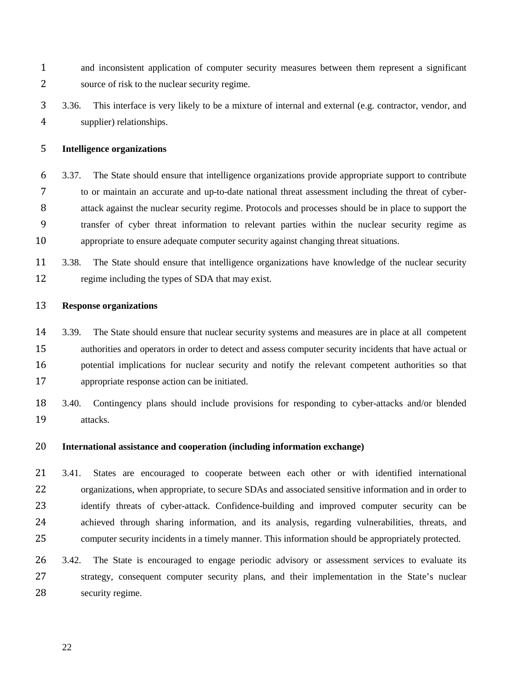- and inconsistent application of computer security measures between them represent a significant source of risk to the nuclear security regime.
- 3.36. This interface is very likely to be a mixture of internal and external (e.g. contractor, vendor, and supplier) relationships.

# <span id="page-27-0"></span>**Intelligence organizations**

- 3.37. The State should ensure that intelligence organizations provide appropriate support to contribute to or maintain an accurate and up-to-date national threat assessment including the threat of cyber- attack against the nuclear security regime. Protocols and processes should be in place to support the transfer of cyber threat information to relevant parties within the nuclear security regime as appropriate to ensure adequate computer security against changing threat situations.
- 3.38. The State should ensure that intelligence organizations have knowledge of the nuclear security regime including the types of SDA that may exist.

# <span id="page-27-1"></span>**Response organizations**

- 3.39. The State should ensure that nuclear security systems and measures are in place at all competent authorities and operators in order to detect and assess computer security incidents that have actual or potential implications for nuclear security and notify the relevant competent authorities so that appropriate response action can be initiated.
- 3.40. Contingency plans should include provisions for responding to cyber-attacks and/or blended attacks.

#### <span id="page-27-2"></span>**International assistance and cooperation (including information exchange)**

 3.41. States are encouraged to cooperate between each other or with identified international organizations, when appropriate, to secure SDAs and associated sensitive information and in order to 23 identify threats of cyber-attack. Confidence-building and improved computer security can be achieved through sharing information, and its analysis, regarding vulnerabilities, threats, and computer security incidents in a timely manner. This information should be appropriately protected.

 3.42. The State is encouraged to engage periodic advisory or assessment services to evaluate its strategy, consequent computer security plans, and their implementation in the State's nuclear security regime.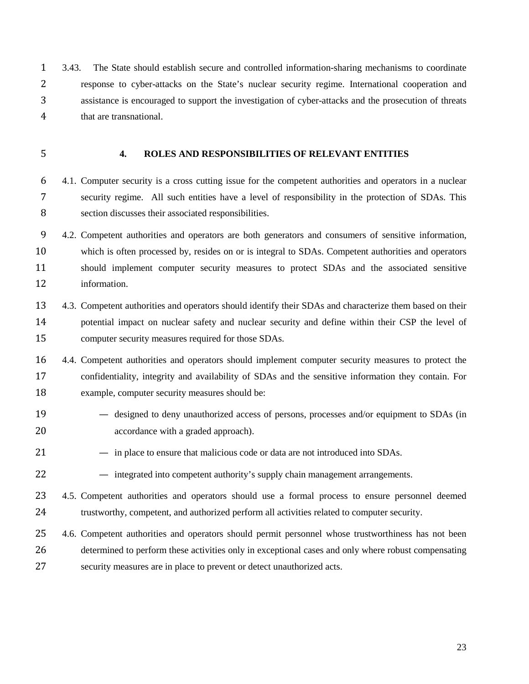3.43. The State should establish secure and controlled information-sharing mechanisms to coordinate response to cyber-attacks on the State's nuclear security regime. International cooperation and assistance is encouraged to support the investigation of cyber-attacks and the prosecution of threats that are transnational.

# <span id="page-28-0"></span>**4. ROLES AND RESPONSIBILITIES OF RELEVANT ENTITIES**

 4.1. Computer security is a cross cutting issue for the competent authorities and operators in a nuclear security regime. All such entities have a level of responsibility in the protection of SDAs. This section discusses their associated responsibilities.

 4.2. Competent authorities and operators are both generators and consumers of sensitive information, which is often processed by, resides on or is integral to SDAs. Competent authorities and operators should implement computer security measures to protect SDAs and the associated sensitive information.

 4.3. Competent authorities and operators should identify their SDAs and characterize them based on their potential impact on nuclear safety and nuclear security and define within their CSP the level of computer security measures required for those SDAs.

 4.4. Competent authorities and operators should implement computer security measures to protect the confidentiality, integrity and availability of SDAs and the sensitive information they contain. For example, computer security measures should be:

- designed to deny unauthorized access of persons, processes and/or equipment to SDAs (in accordance with a graded approach).
- in place to ensure that malicious code or data are not introduced into SDAs.
- integrated into competent authority's supply chain management arrangements.
- 4.5. Competent authorities and operators should use a formal process to ensure personnel deemed trustworthy, competent, and authorized perform all activities related to computer security.
- 4.6. Competent authorities and operators should permit personnel whose trustworthiness has not been determined to perform these activities only in exceptional cases and only where robust compensating security measures are in place to prevent or detect unauthorized acts.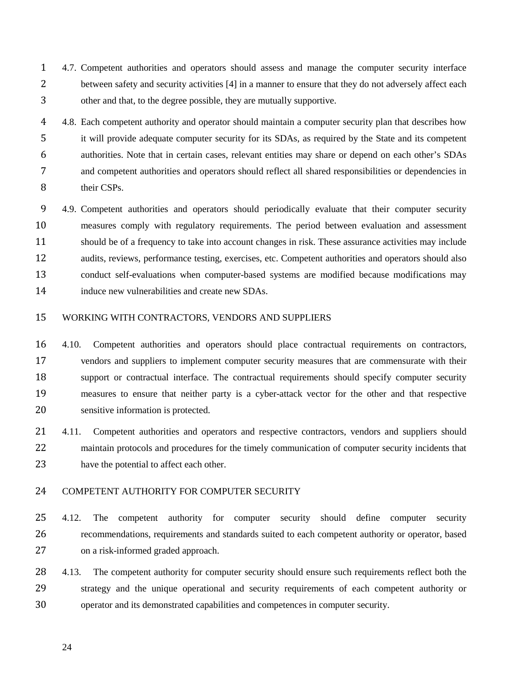- 4.7. Competent authorities and operators should assess and manage the computer security interface 2 between safety and security activities [4] in a manner to ensure that they do not adversely affect each other and that, to the degree possible, they are mutually supportive.
- 4 4.8. Each competent authority and operator should maintain a computer security plan that describes how it will provide adequate computer security for its SDAs, as required by the State and its competent authorities. Note that in certain cases, relevant entities may share or depend on each other's SDAs and competent authorities and operators should reflect all shared responsibilities or dependencies in 8 their CSPs.
- 4.9. Competent authorities and operators should periodically evaluate that their computer security measures comply with regulatory requirements. The period between evaluation and assessment should be of a frequency to take into account changes in risk. These assurance activities may include audits, reviews, performance testing, exercises, etc. Competent authorities and operators should also conduct self-evaluations when computer-based systems are modified because modifications may induce new vulnerabilities and create new SDAs.

#### <span id="page-29-0"></span>WORKING WITH CONTRACTORS, VENDORS AND SUPPLIERS

 4.10. Competent authorities and operators should place contractual requirements on contractors, vendors and suppliers to implement computer security measures that are commensurate with their support or contractual interface. The contractual requirements should specify computer security measures to ensure that neither party is a cyber-attack vector for the other and that respective sensitive information is protected.

 4.11. Competent authorities and operators and respective contractors, vendors and suppliers should 22 maintain protocols and procedures for the timely communication of computer security incidents that have the potential to affect each other.

#### <span id="page-29-1"></span>COMPETENT AUTHORITY FOR COMPUTER SECURITY

25 4.12. The competent authority for computer security should define computer security recommendations, requirements and standards suited to each competent authority or operator, based on a risk-informed graded approach.

28 4.13. The competent authority for computer security should ensure such requirements reflect both the strategy and the unique operational and security requirements of each competent authority or operator and its demonstrated capabilities and competences in computer security.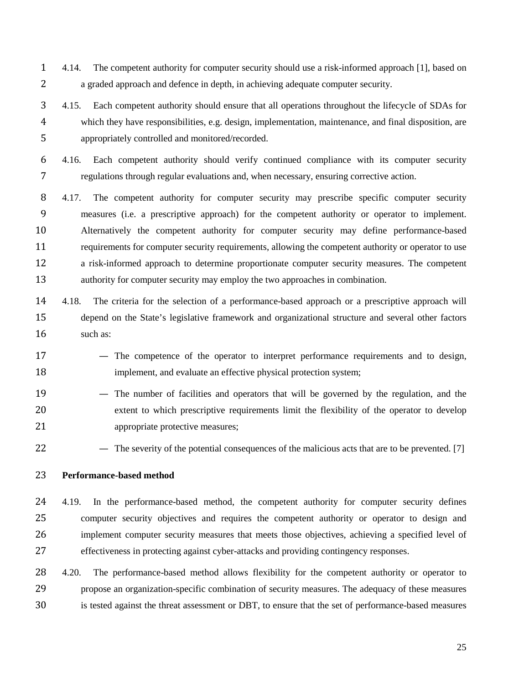- 4.14. The competent authority for computer security should use a risk-informed approach [1], based on a graded approach and defence in depth, in achieving adequate computer security.
- 4.15. Each competent authority should ensure that all operations throughout the lifecycle of SDAs for which they have responsibilities, e.g. design, implementation, maintenance, and final disposition, are appropriately controlled and monitored/recorded.
- 4.16. Each competent authority should verify continued compliance with its computer security regulations through regular evaluations and, when necessary, ensuring corrective action.
- 4.17. The competent authority for computer security may prescribe specific computer security measures (i.e. a prescriptive approach) for the competent authority or operator to implement. Alternatively the competent authority for computer security may define performance-based requirements for computer security requirements, allowing the competent authority or operator to use a risk-informed approach to determine proportionate computer security measures. The competent authority for computer security may employ the two approaches in combination.
- 4.18. The criteria for the selection of a performance-based approach or a prescriptive approach will depend on the State's legislative framework and organizational structure and several other factors 16 such as:
- 17 The competence of the operator to interpret performance requirements and to design, **implement**, and evaluate an effective physical protection system;
- The number of facilities and operators that will be governed by the regulation, and the extent to which prescriptive requirements limit the flexibility of the operator to develop 21 appropriate protective measures;
- 22 The severity of the potential consequences of the malicious acts that are to be prevented. [7]

# <span id="page-30-0"></span>**Performance-based method**

- 4.19. In the performance-based method, the competent authority for computer security defines computer security objectives and requires the competent authority or operator to design and implement computer security measures that meets those objectives, achieving a specified level of effectiveness in protecting against cyber-attacks and providing contingency responses.
- 28 4.20. The performance-based method allows flexibility for the competent authority or operator to propose an organization-specific combination of security measures. The adequacy of these measures is tested against the threat assessment or DBT, to ensure that the set of performance-based measures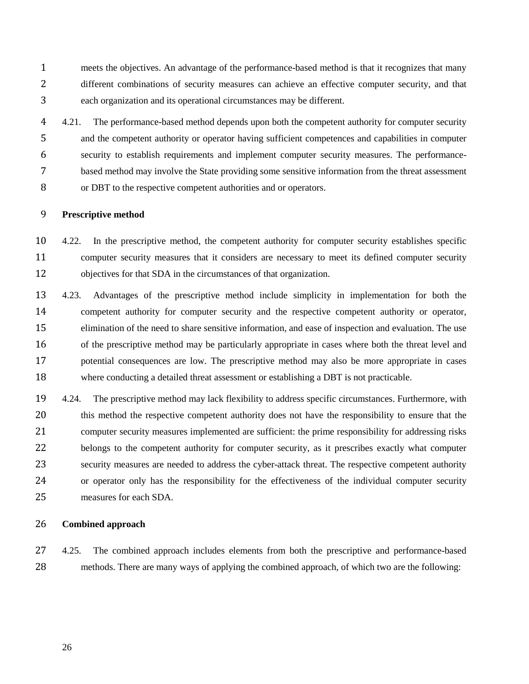meets the objectives. An advantage of the performance-based method is that it recognizes that many different combinations of security measures can achieve an effective computer security, and that each organization and its operational circumstances may be different.

4 4.21. The performance-based method depends upon both the competent authority for computer security and the competent authority or operator having sufficient competences and capabilities in computer security to establish requirements and implement computer security measures. The performance- based method may involve the State providing some sensitive information from the threat assessment or DBT to the respective competent authorities and or operators.

# <span id="page-31-0"></span>**Prescriptive method**

 4.22. In the prescriptive method, the competent authority for computer security establishes specific computer security measures that it considers are necessary to meet its defined computer security objectives for that SDA in the circumstances of that organization.

 4.23. Advantages of the prescriptive method include simplicity in implementation for both the competent authority for computer security and the respective competent authority or operator, elimination of the need to share sensitive information, and ease of inspection and evaluation. The use of the prescriptive method may be particularly appropriate in cases where both the threat level and potential consequences are low. The prescriptive method may also be more appropriate in cases where conducting a detailed threat assessment or establishing a DBT is not practicable.

 4.24. The prescriptive method may lack flexibility to address specific circumstances. Furthermore, with this method the respective competent authority does not have the responsibility to ensure that the computer security measures implemented are sufficient: the prime responsibility for addressing risks 22 belongs to the competent authority for computer security, as it prescribes exactly what computer security measures are needed to address the cyber-attack threat. The respective competent authority or operator only has the responsibility for the effectiveness of the individual computer security measures for each SDA.

# <span id="page-31-1"></span>**Combined approach**

 4.25. The combined approach includes elements from both the prescriptive and performance-based methods. There are many ways of applying the combined approach, of which two are the following: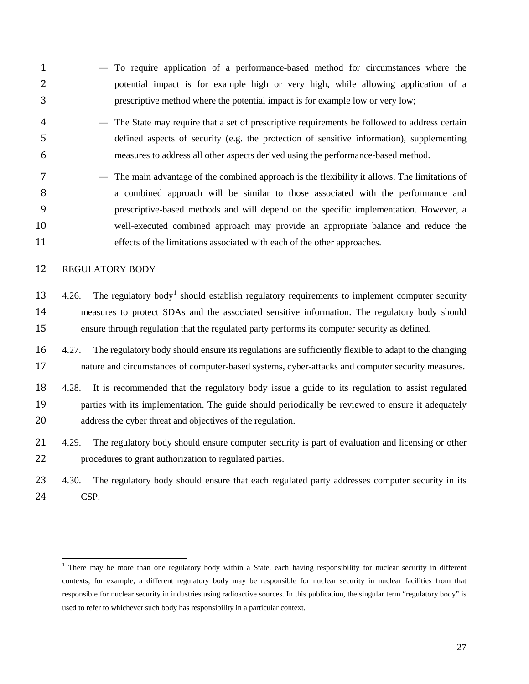- To require application of a performance-based method for circumstances where the potential impact is for example high or very high, while allowing application of a prescriptive method where the potential impact is for example low or very low;
- The State may require that a set of prescriptive requirements be followed to address certain defined aspects of security (e.g. the protection of sensitive information), supplementing measures to address all other aspects derived using the performance-based method.
- The main advantage of the combined approach is the flexibility it allows. The limitations of a combined approach will be similar to those associated with the performance and prescriptive-based methods and will depend on the specific implementation. However, a well-executed combined approach may provide an appropriate balance and reduce the effects of the limitations associated with each of the other approaches.

## <span id="page-32-0"></span>REGULATORY BODY

- $13 4.26$ . The regulatory body<sup>1</sup> should establish regulatory requirements to implement computer security measures to protect SDAs and the associated sensitive information. The regulatory body should ensure through regulation that the regulated party performs its computer security as defined.
- 4.27. The regulatory body should ensure its regulations are sufficiently flexible to adapt to the changing 17 nature and circumstances of computer-based systems, cyber-attacks and computer security measures.
- 4.28. It is recommended that the regulatory body issue a guide to its regulation to assist regulated parties with its implementation. The guide should periodically be reviewed to ensure it adequately address the cyber threat and objectives of the regulation.
- 21 4.29. The regulatory body should ensure computer security is part of evaluation and licensing or other procedures to grant authorization to regulated parties.
- 4.30. The regulatory body should ensure that each regulated party addresses computer security in its CSP.

<span id="page-32-1"></span> $<sup>1</sup>$  There may be more than one regulatory body within a State, each having responsibility for nuclear security in different</sup> contexts; for example, a different regulatory body may be responsible for nuclear security in nuclear facilities from that responsible for nuclear security in industries using radioactive sources. In this publication, the singular term "regulatory body" is used to refer to whichever such body has responsibility in a particular context.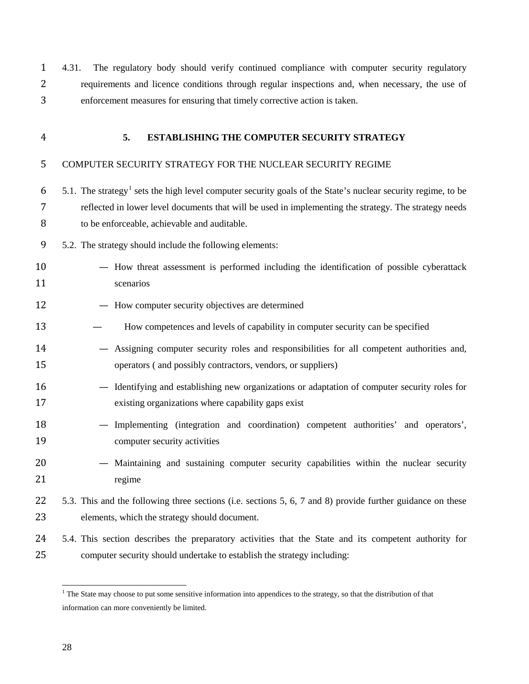4.31. The regulatory body should verify continued compliance with computer security regulatory requirements and licence conditions through regular inspections and, when necessary, the use of enforcement measures for ensuring that timely corrective action is taken.

<span id="page-33-0"></span>

# **5. ESTABLISHING THE COMPUTER SECURITY STRATEGY**

# <span id="page-33-1"></span>COMPUTER SECURITY STRATEGY FOR THE NUCLEAR SECURITY REGIME

- $6\quad 5.1$  $6\quad 5.1$ . The strategy<sup>1</sup> sets the high level computer security goals of the State's nuclear security regime, to be reflected in lower level documents that will be used in implementing the strategy. The strategy needs to be enforceable, achievable and auditable.
- 5.2. The strategy should include the following elements:
- How threat assessment is performed including the identification of possible cyberattack 11 scenarios
- How computer security objectives are determined
- How competences and levels of capability in computer security can be specified
- Assigning computer security roles and responsibilities for all competent authorities and, operators ( and possibly contractors, vendors, or suppliers)
- Identifying and establishing new organizations or adaptation of computer security roles for existing organizations where capability gaps exist
- Implementing (integration and coordination) competent authorities' and operators', computer security activities
- Maintaining and sustaining computer security capabilities within the nuclear security 21 regime
- 5.3. This and the following three sections (i.e. sections 5, 6, 7 and 8) provide further guidance on these elements, which the strategy should document.
- 5.4. This section describes the preparatory activities that the State and its competent authority for computer security should undertake to establish the strategy including:

<span id="page-33-2"></span> $<sup>1</sup>$  The State may choose to put some sensitive information into appendices to the strategy, so that the distribution of that</sup> information can more conveniently be limited.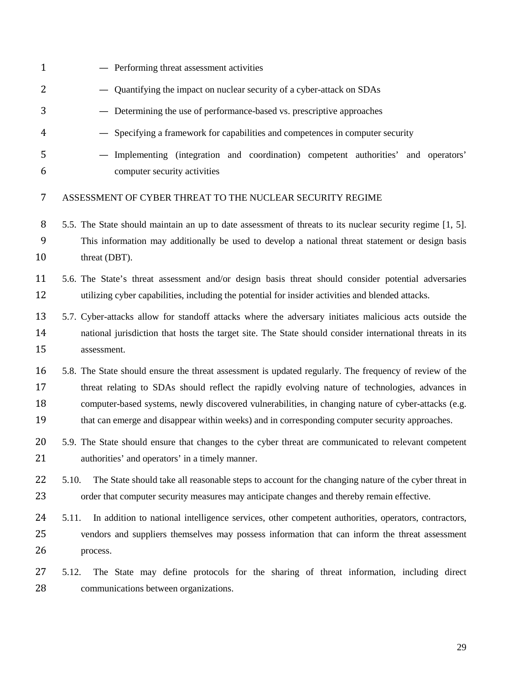<span id="page-34-0"></span>

| $\mathbf{1}$         | - Performing threat assessment activities                                                                                                                                                                                                                                                                                                                                                                           |
|----------------------|---------------------------------------------------------------------------------------------------------------------------------------------------------------------------------------------------------------------------------------------------------------------------------------------------------------------------------------------------------------------------------------------------------------------|
| 2                    | - Quantifying the impact on nuclear security of a cyber-attack on SDAs                                                                                                                                                                                                                                                                                                                                              |
| 3                    | - Determining the use of performance-based vs. prescriptive approaches                                                                                                                                                                                                                                                                                                                                              |
| $\overline{4}$       | - Specifying a framework for capabilities and competences in computer security                                                                                                                                                                                                                                                                                                                                      |
| 5<br>6               | - Implementing (integration and coordination) competent authorities' and operators'<br>computer security activities                                                                                                                                                                                                                                                                                                 |
| 7                    | ASSESSMENT OF CYBER THREAT TO THE NUCLEAR SECURITY REGIME                                                                                                                                                                                                                                                                                                                                                           |
| 8<br>9<br>10         | 5.5. The State should maintain an up to date assessment of threats to its nuclear security regime [1, 5].<br>This information may additionally be used to develop a national threat statement or design basis<br>threat (DBT).                                                                                                                                                                                      |
| 11<br>12             | 5.6. The State's threat assessment and/or design basis threat should consider potential adversaries<br>utilizing cyber capabilities, including the potential for insider activities and blended attacks.                                                                                                                                                                                                            |
| 13<br>14<br>15       | 5.7. Cyber-attacks allow for standoff attacks where the adversary initiates malicious acts outside the<br>national jurisdiction that hosts the target site. The State should consider international threats in its<br>assessment.                                                                                                                                                                                   |
| 16<br>17<br>18<br>19 | 5.8. The State should ensure the threat assessment is updated regularly. The frequency of review of the<br>threat relating to SDAs should reflect the rapidly evolving nature of technologies, advances in<br>computer-based systems, newly discovered vulnerabilities, in changing nature of cyber-attacks (e.g.<br>that can emerge and disappear within weeks) and in corresponding computer security approaches. |
| 20<br>21             | 5.9. The State should ensure that changes to the cyber threat are communicated to relevant competent<br>authorities' and operators' in a timely manner.                                                                                                                                                                                                                                                             |
| 22<br>23             | 5.10.<br>The State should take all reasonable steps to account for the changing nature of the cyber threat in<br>order that computer security measures may anticipate changes and thereby remain effective.                                                                                                                                                                                                         |
| 24<br>25<br>26       | 5.11.<br>In addition to national intelligence services, other competent authorities, operators, contractors,<br>vendors and suppliers themselves may possess information that can inform the threat assessment<br>process.                                                                                                                                                                                          |
| 27<br>28             | The State may define protocols for the sharing of threat information, including direct<br>5.12.<br>communications between organizations.                                                                                                                                                                                                                                                                            |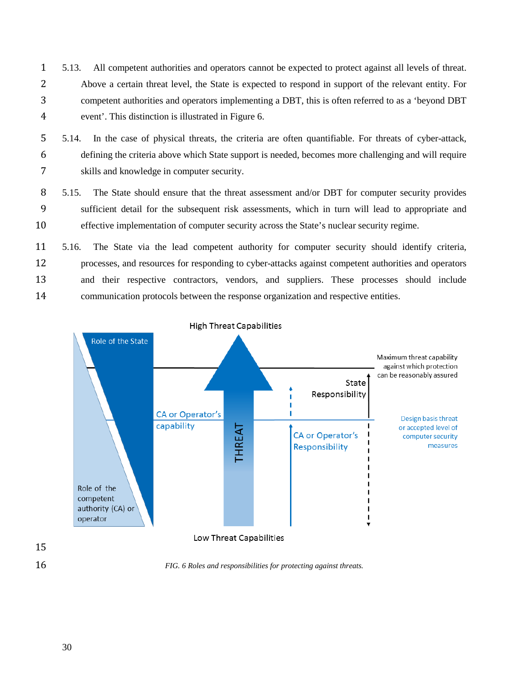- 5.13. All competent authorities and operators cannot be expected to protect against all levels of threat. Above a certain threat level, the State is expected to respond in support of the relevant entity. For competent authorities and operators implementing a DBT, this is often referred to as a 'beyond DBT event'. This distinction is illustrated in Figure 6.
- 5.14. In the case of physical threats, the criteria are often quantifiable. For threats of cyber-attack, defining the criteria above which State support is needed, becomes more challenging and will require skills and knowledge in computer security.
- 5.15. The State should ensure that the threat assessment and/or DBT for computer security provides sufficient detail for the subsequent risk assessments, which in turn will lead to appropriate and effective implementation of computer security across the State's nuclear security regime.
- 5.16. The State via the lead competent authority for computer security should identify criteria, processes, and resources for responding to cyber-attacks against competent authorities and operators and their respective contractors, vendors, and suppliers. These processes should include communication protocols between the response organization and respective entities.



*FIG. 6 Roles and responsibilities for protecting against threats.*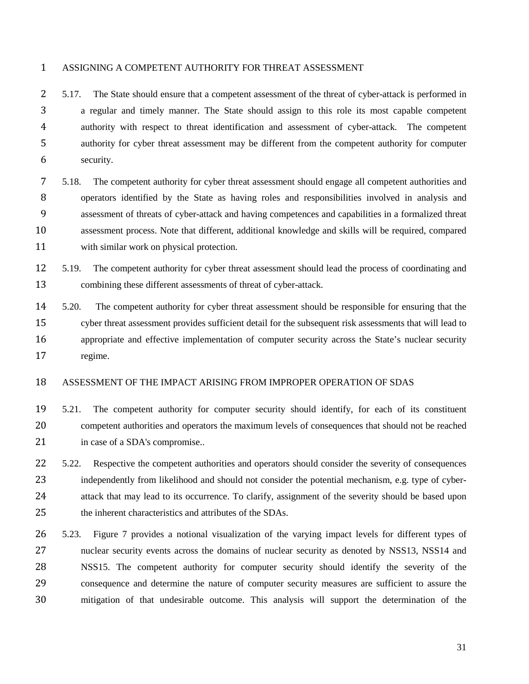#### ASSIGNING A COMPETENT AUTHORITY FOR THREAT ASSESSMENT

 5.17. The State should ensure that a competent assessment of the threat of cyber-attack is performed in a regular and timely manner. The State should assign to this role its most capable competent authority with respect to threat identification and assessment of cyber-attack. The competent authority for cyber threat assessment may be different from the competent authority for computer security.

- 5.18. The competent authority for cyber threat assessment should engage all competent authorities and operators identified by the State as having roles and responsibilities involved in analysis and assessment of threats of cyber-attack and having competences and capabilities in a formalized threat assessment process. Note that different, additional knowledge and skills will be required, compared with similar work on physical protection.
- 5.19. The competent authority for cyber threat assessment should lead the process of coordinating and combining these different assessments of threat of cyber-attack.
- 5.20. The competent authority for cyber threat assessment should be responsible for ensuring that the cyber threat assessment provides sufficient detail for the subsequent risk assessments that will lead to appropriate and effective implementation of computer security across the State's nuclear security regime.

## ASSESSMENT OF THE IMPACT ARISING FROM IMPROPER OPERATION OF SDAS

- 5.21. The competent authority for computer security should identify, for each of its constituent competent authorities and operators the maximum levels of consequences that should not be reached 21 in case of a SDA's compromise..
- 22 5.22. Respective the competent authorities and operators should consider the severity of consequences independently from likelihood and should not consider the potential mechanism, e.g. type of cyber- attack that may lead to its occurrence. To clarify, assignment of the severity should be based upon the inherent characteristics and attributes of the SDAs.
- 5.23. Figure 7 provides a notional visualization of the varying impact levels for different types of nuclear security events across the domains of nuclear security as denoted by NSS13, NSS14 and NSS15. The competent authority for computer security should identify the severity of the consequence and determine the nature of computer security measures are sufficient to assure the mitigation of that undesirable outcome. This analysis will support the determination of the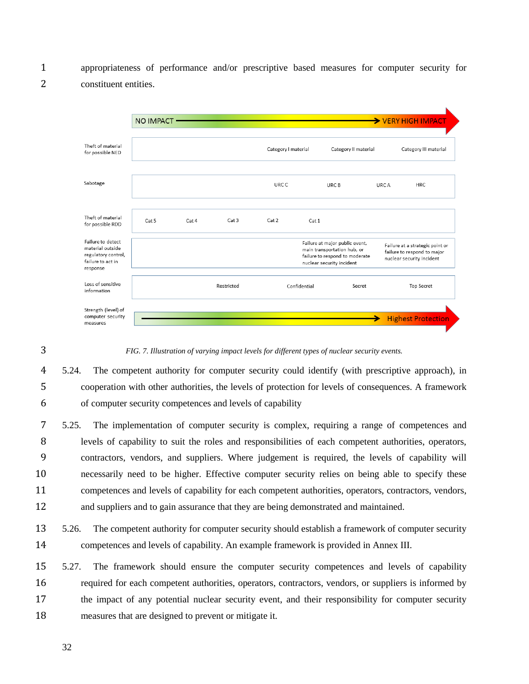appropriateness of performance and/or prescriptive based measures for computer security for constituent entities.



*FIG. 7. Illustration of varying impact levels for different types of nuclear security events.*

 5.24. The competent authority for computer security could identify (with prescriptive approach), in cooperation with other authorities, the levels of protection for levels of consequences. A framework of computer security competences and levels of capability

 5.25. The implementation of computer security is complex, requiring a range of competences and levels of capability to suit the roles and responsibilities of each competent authorities, operators, contractors, vendors, and suppliers. Where judgement is required, the levels of capability will necessarily need to be higher. Effective computer security relies on being able to specify these competences and levels of capability for each competent authorities, operators, contractors, vendors, and suppliers and to gain assurance that they are being demonstrated and maintained.

 5.26. The competent authority for computer security should establish a framework of computer security competences and levels of capability. An example framework is provided in Annex III.

 5.27. The framework should ensure the computer security competences and levels of capability required for each competent authorities, operators, contractors, vendors, or suppliers is informed by the impact of any potential nuclear security event, and their responsibility for computer security measures that are designed to prevent or mitigate it.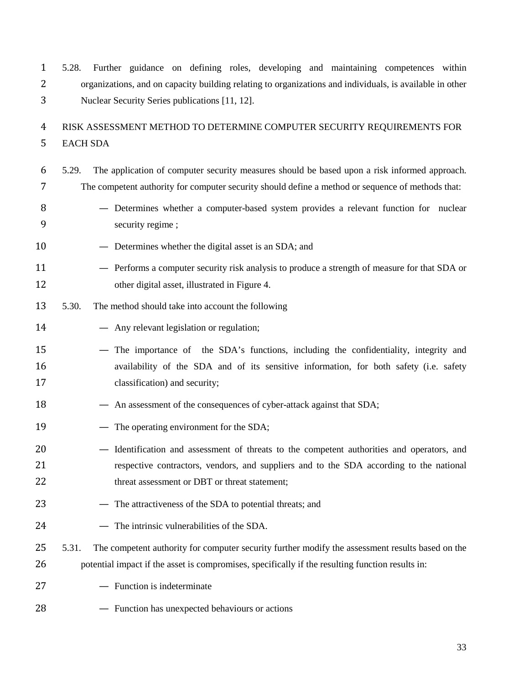5.28. Further guidance on defining roles, developing and maintaining competences within organizations, and on capacity building relating to organizations and individuals, is available in other Nuclear Security Series publications [11, 12].

# RISK ASSESSMENT METHOD TO DETERMINE COMPUTER SECURITY REQUIREMENTS FOR EACH SDA

- 5.29. The application of computer security measures should be based upon a risk informed approach. The competent authority for computer security should define a method or sequence of methods that:
- 8 Determines whether a computer-based system provides a relevant function for nuclear security regime ;
- 10 Determines whether the digital asset is an SDA; and
- Performs a computer security risk analysis to produce a strength of measure for that SDA or 12 other digital asset, illustrated in Figure 4.
- 5.30. The method should take into account the following
- Any relevant legislation or regulation;
- The importance of the SDA's functions, including the confidentiality, integrity and availability of the SDA and of its sensitive information, for both safety (i.e. safety classification) and security;
- 18 An assessment of the consequences of cyber-attack against that SDA;
- 19 The operating environment for the SDA;
- Identification and assessment of threats to the competent authorities and operators, and respective contractors, vendors, and suppliers and to the SDA according to the national 22 threat assessment or DBT or threat statement;
- 23 The attractiveness of the SDA to potential threats; and
- The intrinsic vulnerabilities of the SDA.
- 25 5.31. The competent authority for computer security further modify the assessment results based on the 26 potential impact if the asset is compromises, specifically if the resulting function results in:
- Function is indeterminate
- Function has unexpected behaviours or actions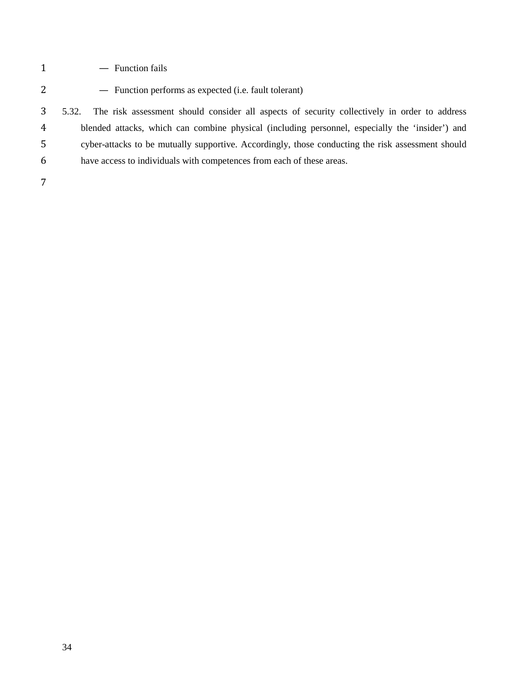- 1 Function fails
- Function performs as expected (i.e. fault tolerant)

 5.32. The risk assessment should consider all aspects of security collectively in order to address blended attacks, which can combine physical (including personnel, especially the 'insider') and cyber-attacks to be mutually supportive. Accordingly, those conducting the risk assessment should have access to individuals with competences from each of these areas.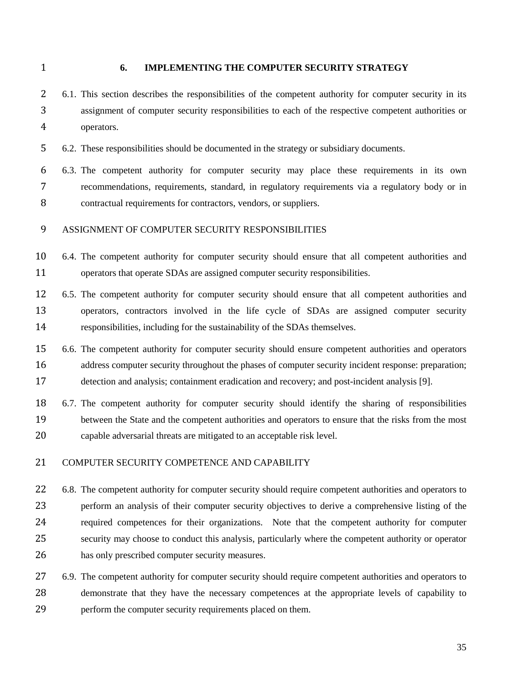#### **6. IMPLEMENTING THE COMPUTER SECURITY STRATEGY**

 6.1. This section describes the responsibilities of the competent authority for computer security in its assignment of computer security responsibilities to each of the respective competent authorities or operators.

6.2. These responsibilities should be documented in the strategy or subsidiary documents.

 6.3. The competent authority for computer security may place these requirements in its own recommendations, requirements, standard, in regulatory requirements via a regulatory body or in contractual requirements for contractors, vendors, or suppliers.

## ASSIGNMENT OF COMPUTER SECURITY RESPONSIBILITIES

 6.4. The competent authority for computer security should ensure that all competent authorities and operators that operate SDAs are assigned computer security responsibilities.

 6.5. The competent authority for computer security should ensure that all competent authorities and operators, contractors involved in the life cycle of SDAs are assigned computer security responsibilities, including for the sustainability of the SDAs themselves.

 6.6. The competent authority for computer security should ensure competent authorities and operators 16 address computer security throughout the phases of computer security incident response: preparation; detection and analysis; containment eradication and recovery; and post-incident analysis [9].

 6.7. The competent authority for computer security should identify the sharing of responsibilities between the State and the competent authorities and operators to ensure that the risks from the most capable adversarial threats are mitigated to an acceptable risk level.

## COMPUTER SECURITY COMPETENCE AND CAPABILITY

22 6.8. The competent authority for computer security should require competent authorities and operators to perform an analysis of their computer security objectives to derive a comprehensive listing of the required competences for their organizations. Note that the competent authority for computer security may choose to conduct this analysis, particularly where the competent authority or operator has only prescribed computer security measures.

27 6.9. The competent authority for computer security should require competent authorities and operators to demonstrate that they have the necessary competences at the appropriate levels of capability to perform the computer security requirements placed on them.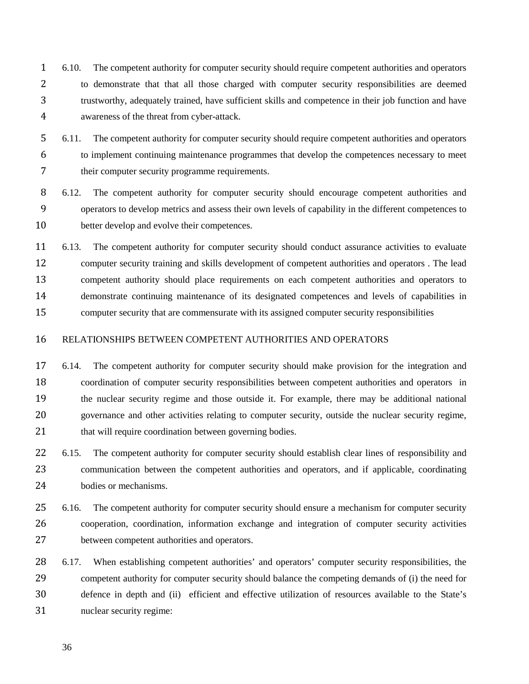- 6.10. The competent authority for computer security should require competent authorities and operators to demonstrate that that all those charged with computer security responsibilities are deemed trustworthy, adequately trained, have sufficient skills and competence in their job function and have awareness of the threat from cyber-attack.
- 6.11. The competent authority for computer security should require competent authorities and operators to implement continuing maintenance programmes that develop the competences necessary to meet their computer security programme requirements.

 6.12. The competent authority for computer security should encourage competent authorities and operators to develop metrics and assess their own levels of capability in the different competences to better develop and evolve their competences.

 6.13. The competent authority for computer security should conduct assurance activities to evaluate computer security training and skills development of competent authorities and operators . The lead competent authority should place requirements on each competent authorities and operators to demonstrate continuing maintenance of its designated competences and levels of capabilities in computer security that are commensurate with its assigned computer security responsibilities

## RELATIONSHIPS BETWEEN COMPETENT AUTHORITIES AND OPERATORS

 6.14. The competent authority for computer security should make provision for the integration and coordination of computer security responsibilities between competent authorities and operators in the nuclear security regime and those outside it. For example, there may be additional national governance and other activities relating to computer security, outside the nuclear security regime, 21 that will require coordination between governing bodies.

22 6.15. The competent authority for computer security should establish clear lines of responsibility and communication between the competent authorities and operators, and if applicable, coordinating bodies or mechanisms.

 6.16. The competent authority for computer security should ensure a mechanism for computer security cooperation, coordination, information exchange and integration of computer security activities between competent authorities and operators.

 6.17. When establishing competent authorities' and operators' computer security responsibilities, the competent authority for computer security should balance the competing demands of (i) the need for defence in depth and (ii) efficient and effective utilization of resources available to the State's nuclear security regime: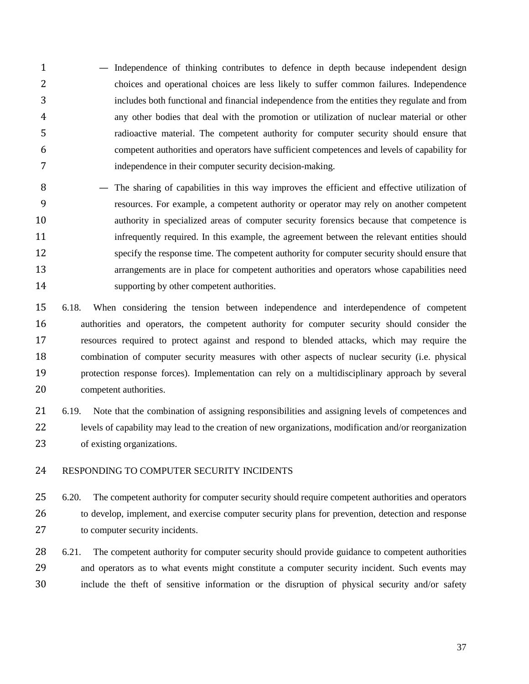— Independence of thinking contributes to defence in depth because independent design choices and operational choices are less likely to suffer common failures. Independence includes both functional and financial independence from the entities they regulate and from any other bodies that deal with the promotion or utilization of nuclear material or other radioactive material. The competent authority for computer security should ensure that competent authorities and operators have sufficient competences and levels of capability for independence in their computer security decision-making.

 — The sharing of capabilities in this way improves the efficient and effective utilization of resources. For example, a competent authority or operator may rely on another competent authority in specialized areas of computer security forensics because that competence is 11 infrequently required. In this example, the agreement between the relevant entities should specify the response time. The competent authority for computer security should ensure that arrangements are in place for competent authorities and operators whose capabilities need 14 supporting by other competent authorities.

 6.18. When considering the tension between independence and interdependence of competent authorities and operators, the competent authority for computer security should consider the resources required to protect against and respond to blended attacks, which may require the combination of computer security measures with other aspects of nuclear security (i.e. physical protection response forces). Implementation can rely on a multidisciplinary approach by several competent authorities.

 6.19. Note that the combination of assigning responsibilities and assigning levels of competences and levels of capability may lead to the creation of new organizations, modification and/or reorganization of existing organizations.

## RESPONDING TO COMPUTER SECURITY INCIDENTS

25 6.20. The competent authority for computer security should require competent authorities and operators to develop, implement, and exercise computer security plans for prevention, detection and response to computer security incidents.

28 6.21. The competent authority for computer security should provide guidance to competent authorities and operators as to what events might constitute a computer security incident. Such events may include the theft of sensitive information or the disruption of physical security and/or safety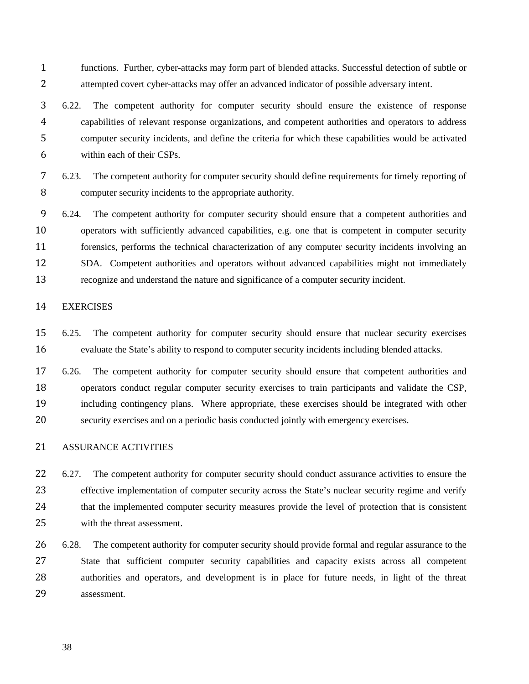functions. Further, cyber-attacks may form part of blended attacks. Successful detection of subtle or attempted covert cyber-attacks may offer an advanced indicator of possible adversary intent.

 6.22. The competent authority for computer security should ensure the existence of response capabilities of relevant response organizations, and competent authorities and operators to address computer security incidents, and define the criteria for which these capabilities would be activated within each of their CSPs.

 6.23. The competent authority for computer security should define requirements for timely reporting of computer security incidents to the appropriate authority.

 6.24. The competent authority for computer security should ensure that a competent authorities and operators with sufficiently advanced capabilities, e.g. one that is competent in computer security forensics, performs the technical characterization of any computer security incidents involving an SDA. Competent authorities and operators without advanced capabilities might not immediately recognize and understand the nature and significance of a computer security incident.

## EXERCISES

 6.25. The competent authority for computer security should ensure that nuclear security exercises evaluate the State's ability to respond to computer security incidents including blended attacks.

 6.26. The competent authority for computer security should ensure that competent authorities and operators conduct regular computer security exercises to train participants and validate the CSP, including contingency plans. Where appropriate, these exercises should be integrated with other security exercises and on a periodic basis conducted jointly with emergency exercises.

## ASSURANCE ACTIVITIES

22 6.27. The competent authority for computer security should conduct assurance activities to ensure the effective implementation of computer security across the State's nuclear security regime and verify that the implemented computer security measures provide the level of protection that is consistent with the threat assessment.

26 6.28. The competent authority for computer security should provide formal and regular assurance to the State that sufficient computer security capabilities and capacity exists across all competent authorities and operators, and development is in place for future needs, in light of the threat assessment.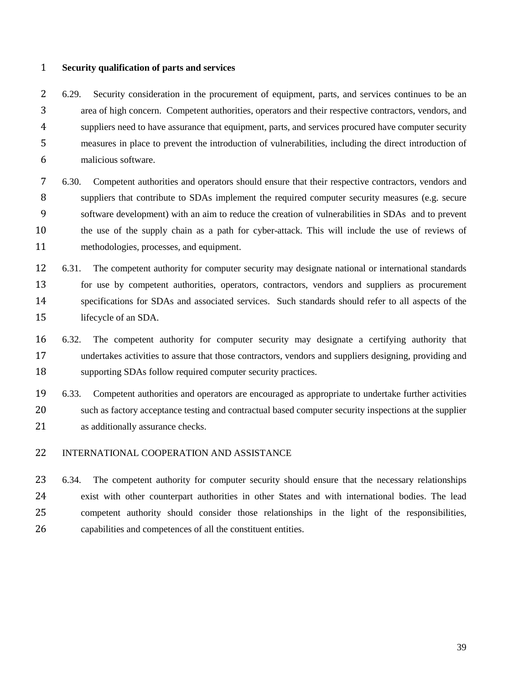#### **Security qualification of parts and services**

 6.29. Security consideration in the procurement of equipment, parts, and services continues to be an area of high concern. Competent authorities, operators and their respective contractors, vendors, and suppliers need to have assurance that equipment, parts, and services procured have computer security measures in place to prevent the introduction of vulnerabilities, including the direct introduction of malicious software.

 6.30. Competent authorities and operators should ensure that their respective contractors, vendors and 8 suppliers that contribute to SDAs implement the required computer security measures (e.g. secure software development) with an aim to reduce the creation of vulnerabilities in SDAs and to prevent the use of the supply chain as a path for cyber-attack. This will include the use of reviews of methodologies, processes, and equipment.

 6.31. The competent authority for computer security may designate national or international standards 13 for use by competent authorities, operators, contractors, vendors and suppliers as procurement specifications for SDAs and associated services. Such standards should refer to all aspects of the lifecycle of an SDA.

 6.32. The competent authority for computer security may designate a certifying authority that undertakes activities to assure that those contractors, vendors and suppliers designing, providing and supporting SDAs follow required computer security practices.

 6.33. Competent authorities and operators are encouraged as appropriate to undertake further activities such as factory acceptance testing and contractual based computer security inspections at the supplier as additionally assurance checks.

## INTERNATIONAL COOPERATION AND ASSISTANCE

 6.34. The competent authority for computer security should ensure that the necessary relationships exist with other counterpart authorities in other States and with international bodies. The lead competent authority should consider those relationships in the light of the responsibilities, capabilities and competences of all the constituent entities.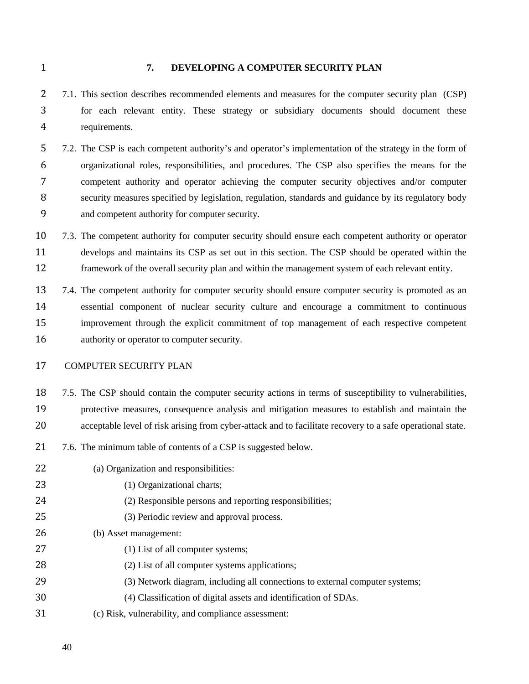#### **7. DEVELOPING A COMPUTER SECURITY PLAN**

 7.1. This section describes recommended elements and measures for the computer security plan (CSP) for each relevant entity. These strategy or subsidiary documents should document these requirements.

 7.2. The CSP is each competent authority's and operator's implementation of the strategy in the form of organizational roles, responsibilities, and procedures. The CSP also specifies the means for the competent authority and operator achieving the computer security objectives and/or computer security measures specified by legislation, regulation, standards and guidance by its regulatory body and competent authority for computer security.

 7.3. The competent authority for computer security should ensure each competent authority or operator develops and maintains its CSP as set out in this section. The CSP should be operated within the framework of the overall security plan and within the management system of each relevant entity.

 7.4. The competent authority for computer security should ensure computer security is promoted as an essential component of nuclear security culture and encourage a commitment to continuous improvement through the explicit commitment of top management of each respective competent authority or operator to computer security.

## COMPUTER SECURITY PLAN

7.5. The CSP should contain the computer security actions in terms of susceptibility to vulnerabilities,

- protective measures, consequence analysis and mitigation measures to establish and maintain the
- acceptable level of risk arising from cyber-attack and to facilitate recovery to a safe operational state.
- 7.6. The minimum table of contents of a CSP is suggested below.
- (a) Organization and responsibilities:
- 23 (1) Organizational charts;
- (2) Responsible persons and reporting responsibilities;
- (3) Periodic review and approval process.
- (b) Asset management:
- 27 (1) List of all computer systems;
- 28 (2) List of all computer systems applications;
- (3) Network diagram, including all connections to external computer systems;
- (4) Classification of digital assets and identification of SDAs.
- (c) Risk, vulnerability, and compliance assessment: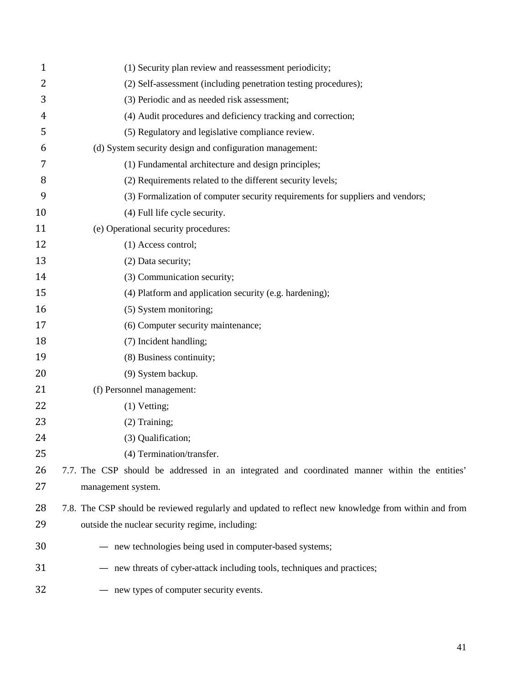| $\mathbf{1}$ | (1) Security plan review and reassessment periodicity;                                              |
|--------------|-----------------------------------------------------------------------------------------------------|
| 2            | (2) Self-assessment (including penetration testing procedures);                                     |
| 3            | (3) Periodic and as needed risk assessment;                                                         |
| 4            | (4) Audit procedures and deficiency tracking and correction;                                        |
| 5            | (5) Regulatory and legislative compliance review.                                                   |
| 6            | (d) System security design and configuration management:                                            |
| 7            | (1) Fundamental architecture and design principles;                                                 |
| 8            | (2) Requirements related to the different security levels;                                          |
| 9            | (3) Formalization of computer security requirements for suppliers and vendors;                      |
| 10           | (4) Full life cycle security.                                                                       |
| 11           | (e) Operational security procedures:                                                                |
| 12           | (1) Access control;                                                                                 |
| 13           | (2) Data security;                                                                                  |
| 14           | (3) Communication security;                                                                         |
| 15           | (4) Platform and application security (e.g. hardening);                                             |
| 16           | (5) System monitoring;                                                                              |
| 17           | (6) Computer security maintenance;                                                                  |
| 18           | (7) Incident handling;                                                                              |
| 19           | (8) Business continuity;                                                                            |
| 20           | (9) System backup.                                                                                  |
| 21           | (f) Personnel management:                                                                           |
| 22           | $(1)$ Vetting;                                                                                      |
| 23           | $(2)$ Training;                                                                                     |
| 24           | (3) Qualification;                                                                                  |
| 25           | (4) Termination/transfer.                                                                           |
| 26           | 7.7. The CSP should be addressed in an integrated and coordinated manner within the entities'       |
| 27           | management system.                                                                                  |
| 28           | 7.8. The CSP should be reviewed regularly and updated to reflect new knowledge from within and from |
| 29           | outside the nuclear security regime, including:                                                     |
| 30           | - new technologies being used in computer-based systems;                                            |
| 31           | - new threats of cyber-attack including tools, techniques and practices;                            |
| 32           | - new types of computer security events.                                                            |
|              |                                                                                                     |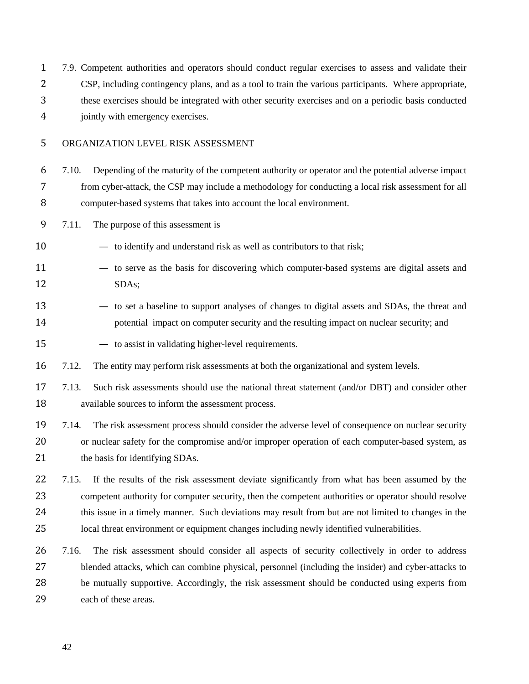7.9. Competent authorities and operators should conduct regular exercises to assess and validate their CSP, including contingency plans, and as a tool to train the various participants. Where appropriate, these exercises should be integrated with other security exercises and on a periodic basis conducted jointly with emergency exercises.

## ORGANIZATION LEVEL RISK ASSESSMENT

 7.10. Depending of the maturity of the competent authority or operator and the potential adverse impact from cyber-attack, the CSP may include a methodology for conducting a local risk assessment for all computer-based systems that takes into account the local environment.

7.11. The purpose of this assessment is

— to identify and understand risk as well as contributors to that risk;

- to serve as the basis for discovering which computer-based systems are digital assets and SDAs;
- to set a baseline to support analyses of changes to digital assets and SDAs, the threat and 14 potential impact on computer security and the resulting impact on nuclear security; and
- to assist in validating higher-level requirements.

16 7.12. The entity may perform risk assessments at both the organizational and system levels.

- 7.13. Such risk assessments should use the national threat statement (and/or DBT) and consider other available sources to inform the assessment process.
- 7.14. The risk assessment process should consider the adverse level of consequence on nuclear security or nuclear safety for the compromise and/or improper operation of each computer-based system, as 21 the basis for identifying SDAs.

 7.15. If the results of the risk assessment deviate significantly from what has been assumed by the competent authority for computer security, then the competent authorities or operator should resolve this issue in a timely manner. Such deviations may result from but are not limited to changes in the local threat environment or equipment changes including newly identified vulnerabilities.

 7.16. The risk assessment should consider all aspects of security collectively in order to address blended attacks, which can combine physical, personnel (including the insider) and cyber-attacks to be mutually supportive. Accordingly, the risk assessment should be conducted using experts from each of these areas.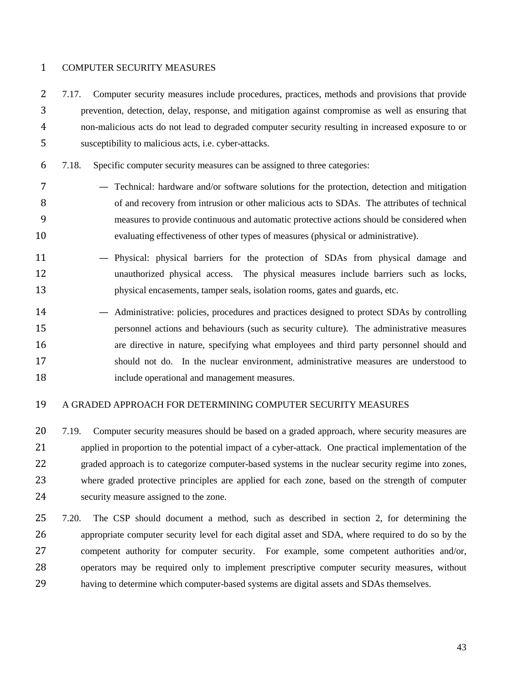#### COMPUTER SECURITY MEASURES

- 7.17. Computer security measures include procedures, practices, methods and provisions that provide prevention, detection, delay, response, and mitigation against compromise as well as ensuring that non-malicious acts do not lead to degraded computer security resulting in increased exposure to or susceptibility to malicious acts, i.e. cyber-attacks.
- 7.18. Specific computer security measures can be assigned to three categories:
- Technical: hardware and/or software solutions for the protection, detection and mitigation 8 of and recovery from intrusion or other malicious acts to SDAs. The attributes of technical measures to provide continuous and automatic protective actions should be considered when evaluating effectiveness of other types of measures (physical or administrative).
- Physical: physical barriers for the protection of SDAs from physical damage and unauthorized physical access. The physical measures include barriers such as locks, physical encasements, tamper seals, isolation rooms, gates and guards, etc.
- Administrative: policies, procedures and practices designed to protect SDAs by controlling personnel actions and behaviours (such as security culture). The administrative measures are directive in nature, specifying what employees and third party personnel should and should not do. In the nuclear environment, administrative measures are understood to include operational and management measures.

## A GRADED APPROACH FOR DETERMINING COMPUTER SECURITY MEASURES

- 20 7.19. Computer security measures should be based on a graded approach, where security measures are applied in proportion to the potential impact of a cyber-attack. One practical implementation of the graded approach is to categorize computer-based systems in the nuclear security regime into zones, where graded protective principles are applied for each zone, based on the strength of computer security measure assigned to the zone.
- 7.20. The CSP should document a method, such as described in section 2, for determining the appropriate computer security level for each digital asset and SDA, where required to do so by the competent authority for computer security. For example, some competent authorities and/or, operators may be required only to implement prescriptive computer security measures, without having to determine which computer-based systems are digital assets and SDAs themselves.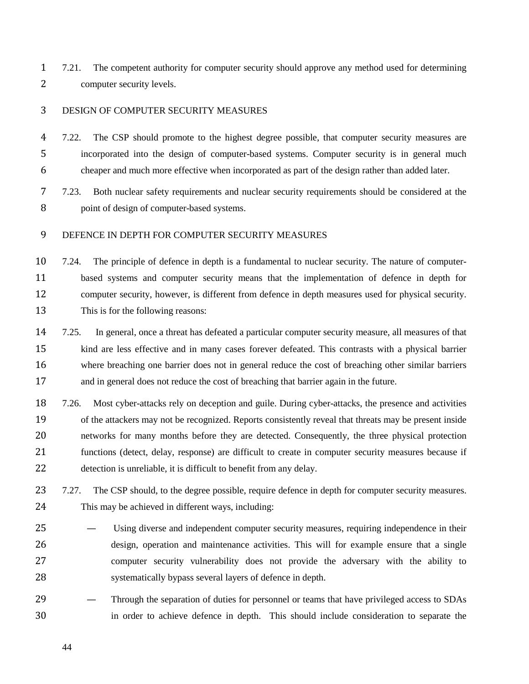7.21. The competent authority for computer security should approve any method used for determining computer security levels.

## DESIGN OF COMPUTER SECURITY MEASURES

 7.22. The CSP should promote to the highest degree possible, that computer security measures are incorporated into the design of computer-based systems. Computer security is in general much cheaper and much more effective when incorporated as part of the design rather than added later.

 7.23. Both nuclear safety requirements and nuclear security requirements should be considered at the point of design of computer-based systems.

## DEFENCE IN DEPTH FOR COMPUTER SECURITY MEASURES

 7.24. The principle of defence in depth is a fundamental to nuclear security. The nature of computer- based systems and computer security means that the implementation of defence in depth for computer security, however, is different from defence in depth measures used for physical security. This is for the following reasons:

 7.25. In general, once a threat has defeated a particular computer security measure, all measures of that kind are less effective and in many cases forever defeated. This contrasts with a physical barrier where breaching one barrier does not in general reduce the cost of breaching other similar barriers and in general does not reduce the cost of breaching that barrier again in the future.

 7.26. Most cyber-attacks rely on deception and guile. During cyber-attacks, the presence and activities of the attackers may not be recognized. Reports consistently reveal that threats may be present inside networks for many months before they are detected. Consequently, the three physical protection functions (detect, delay, response) are difficult to create in computer security measures because if detection is unreliable, it is difficult to benefit from any delay.

23 7.27. The CSP should, to the degree possible, require defence in depth for computer security measures. This may be achieved in different ways, including:

- Using diverse and independent computer security measures, requiring independence in their design, operation and maintenance activities. This will for example ensure that a single computer security vulnerability does not provide the adversary with the ability to systematically bypass several layers of defence in depth.
- Through the separation of duties for personnel or teams that have privileged access to SDAs in order to achieve defence in depth. This should include consideration to separate the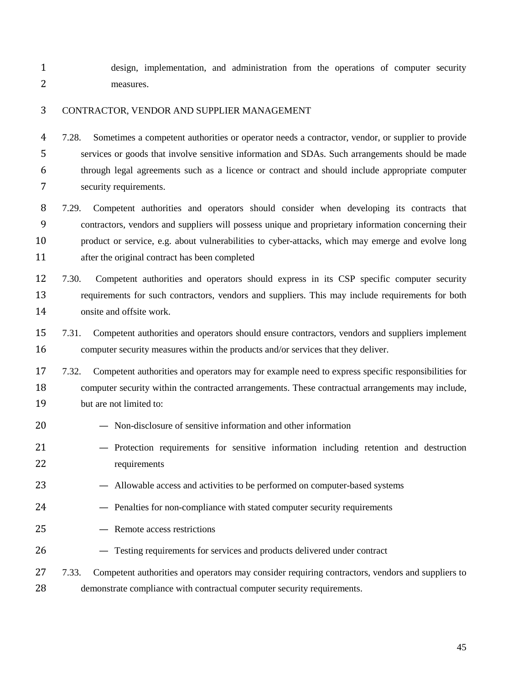design, implementation, and administration from the operations of computer security measures.

## CONTRACTOR, VENDOR AND SUPPLIER MANAGEMENT

 7.28. Sometimes a competent authorities or operator needs a contractor, vendor, or supplier to provide services or goods that involve sensitive information and SDAs. Such arrangements should be made through legal agreements such as a licence or contract and should include appropriate computer security requirements.

 7.29. Competent authorities and operators should consider when developing its contracts that contractors, vendors and suppliers will possess unique and proprietary information concerning their product or service, e.g. about vulnerabilities to cyber-attacks, which may emerge and evolve long after the original contract has been completed

 7.30. Competent authorities and operators should express in its CSP specific computer security requirements for such contractors, vendors and suppliers. This may include requirements for both onsite and offsite work.

 7.31. Competent authorities and operators should ensure contractors, vendors and suppliers implement computer security measures within the products and/or services that they deliver.

 7.32. Competent authorities and operators may for example need to express specific responsibilities for computer security within the contracted arrangements. These contractual arrangements may include, but are not limited to:

- Non-disclosure of sensitive information and other information
- Protection requirements for sensitive information including retention and destruction requirements
- Allowable access and activities to be performed on computer-based systems
- Penalties for non-compliance with stated computer security requirements
- Remote access restrictions
- Testing requirements for services and products delivered under contract

# 27 7.33. Competent authorities and operators may consider requiring contractors, vendors and suppliers to demonstrate compliance with contractual computer security requirements.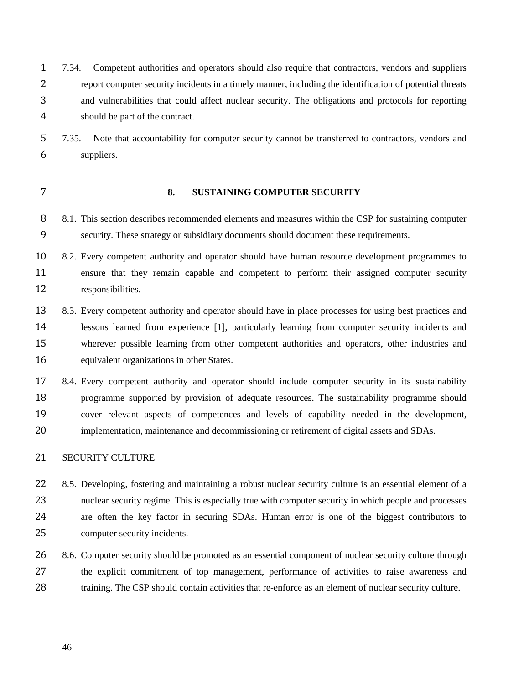7.34. Competent authorities and operators should also require that contractors, vendors and suppliers report computer security incidents in a timely manner, including the identification of potential threats and vulnerabilities that could affect nuclear security. The obligations and protocols for reporting should be part of the contract.

 7.35. Note that accountability for computer security cannot be transferred to contractors, vendors and suppliers.

## **8. SUSTAINING COMPUTER SECURITY**

 8.1. This section describes recommended elements and measures within the CSP for sustaining computer security. These strategy or subsidiary documents should document these requirements.

10 8.2. Every competent authority and operator should have human resource development programmes to ensure that they remain capable and competent to perform their assigned computer security responsibilities.

 8.3. Every competent authority and operator should have in place processes for using best practices and lessons learned from experience [1], particularly learning from computer security incidents and wherever possible learning from other competent authorities and operators, other industries and equivalent organizations in other States.

 8.4. Every competent authority and operator should include computer security in its sustainability programme supported by provision of adequate resources. The sustainability programme should cover relevant aspects of competences and levels of capability needed in the development, implementation, maintenance and decommissioning or retirement of digital assets and SDAs.

## SECURITY CULTURE

 8.5. Developing, fostering and maintaining a robust nuclear security culture is an essential element of a nuclear security regime. This is especially true with computer security in which people and processes are often the key factor in securing SDAs. Human error is one of the biggest contributors to computer security incidents.

26 8.6. Computer security should be promoted as an essential component of nuclear security culture through the explicit commitment of top management, performance of activities to raise awareness and training. The CSP should contain activities that re-enforce as an element of nuclear security culture.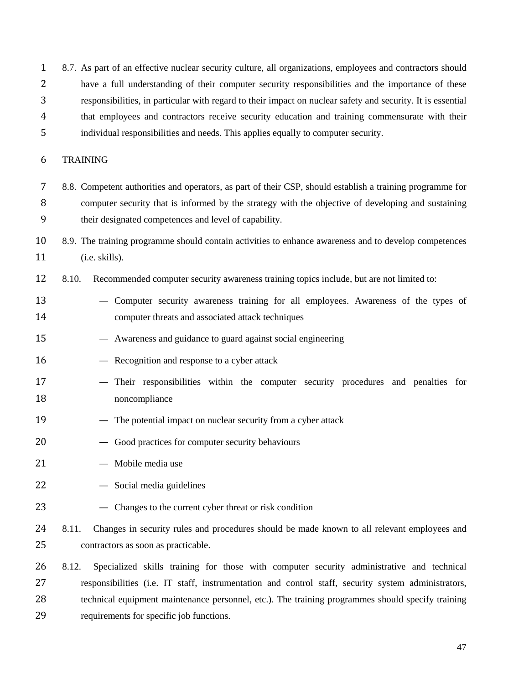8.7. As part of an effective nuclear security culture, all organizations, employees and contractors should have a full understanding of their computer security responsibilities and the importance of these responsibilities, in particular with regard to their impact on nuclear safety and security. It is essential that employees and contractors receive security education and training commensurate with their individual responsibilities and needs. This applies equally to computer security.

## TRAINING

- 8.8. Competent authorities and operators, as part of their CSP, should establish a training programme for computer security that is informed by the strategy with the objective of developing and sustaining their designated competences and level of capability.
- 8.9. The training programme should contain activities to enhance awareness and to develop competences 11 (i.e. skills).
- 8.10. Recommended computer security awareness training topics include, but are not limited to:
- Computer security awareness training for all employees. Awareness of the types of computer threats and associated attack techniques
- Awareness and guidance to guard against social engineering
- Recognition and response to a cyber attack
- Their responsibilities within the computer security procedures and penalties for noncompliance
- 19 The potential impact on nuclear security from a cyber attack
- Good practices for computer security behaviours
- Mobile media use
- Social media guidelines
- Changes to the current cyber threat or risk condition
- 24 8.11. Changes in security rules and procedures should be made known to all relevant employees and contractors as soon as practicable.
- 8.12. Specialized skills training for those with computer security administrative and technical responsibilities (i.e. IT staff, instrumentation and control staff, security system administrators, technical equipment maintenance personnel, etc.). The training programmes should specify training requirements for specific job functions.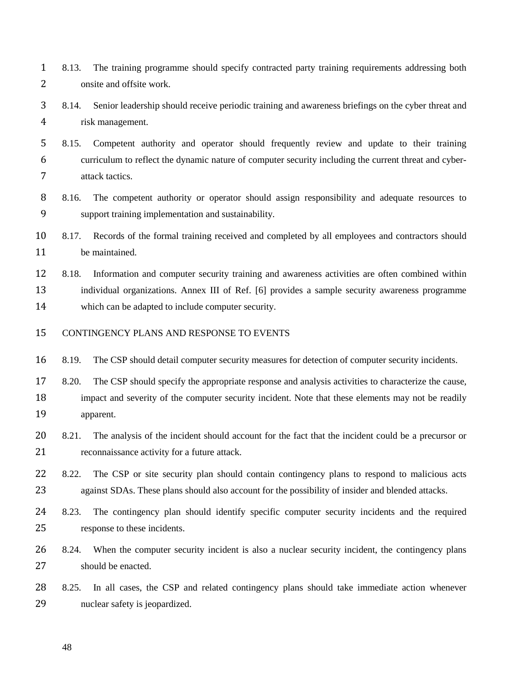8.13. The training programme should specify contracted party training requirements addressing both onsite and offsite work.

 8.14. Senior leadership should receive periodic training and awareness briefings on the cyber threat and risk management.

 8.15. Competent authority and operator should frequently review and update to their training curriculum to reflect the dynamic nature of computer security including the current threat and cyber-attack tactics.

 8.16. The competent authority or operator should assign responsibility and adequate resources to support training implementation and sustainability.

 8.17. Records of the formal training received and completed by all employees and contractors should be maintained.

 8.18. Information and computer security training and awareness activities are often combined within individual organizations. Annex III of Ref. [6] provides a sample security awareness programme which can be adapted to include computer security.

CONTINGENCY PLANS AND RESPONSE TO EVENTS

8.19. The CSP should detail computer security measures for detection of computer security incidents.

 8.20. The CSP should specify the appropriate response and analysis activities to characterize the cause, 18 impact and severity of the computer security incident. Note that these elements may not be readily apparent.

20 8.21. The analysis of the incident should account for the fact that the incident could be a precursor or reconnaissance activity for a future attack.

22 8.22. The CSP or site security plan should contain contingency plans to respond to malicious acts 23 against SDAs. These plans should also account for the possibility of insider and blended attacks.

 8.23. The contingency plan should identify specific computer security incidents and the required response to these incidents.

 8.24. When the computer security incident is also a nuclear security incident, the contingency plans should be enacted.

 8.25. In all cases, the CSP and related contingency plans should take immediate action whenever nuclear safety is jeopardized.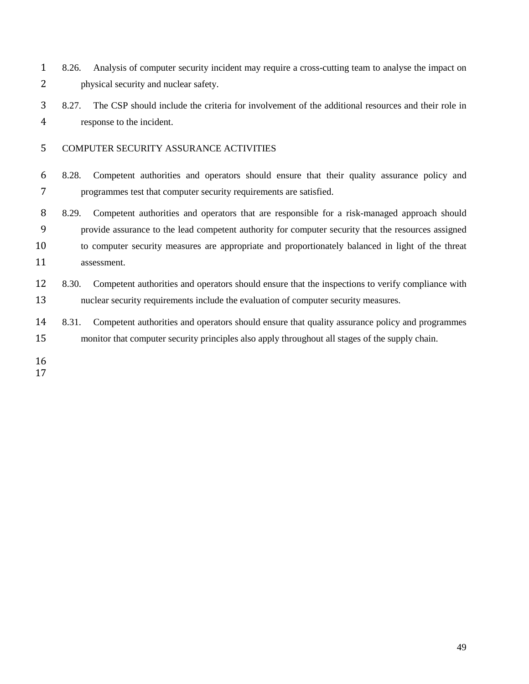8.26. Analysis of computer security incident may require a cross-cutting team to analyse the impact on physical security and nuclear safety.

 8.27. The CSP should include the criteria for involvement of the additional resources and their role in response to the incident.

- COMPUTER SECURITY ASSURANCE ACTIVITIES
- 8.28. Competent authorities and operators should ensure that their quality assurance policy and programmes test that computer security requirements are satisfied.

 8.29. Competent authorities and operators that are responsible for a risk-managed approach should provide assurance to the lead competent authority for computer security that the resources assigned to computer security measures are appropriate and proportionately balanced in light of the threat assessment.

- 8.30. Competent authorities and operators should ensure that the inspections to verify compliance with nuclear security requirements include the evaluation of computer security measures.
- 8.31. Competent authorities and operators should ensure that quality assurance policy and programmes monitor that computer security principles also apply throughout all stages of the supply chain.
-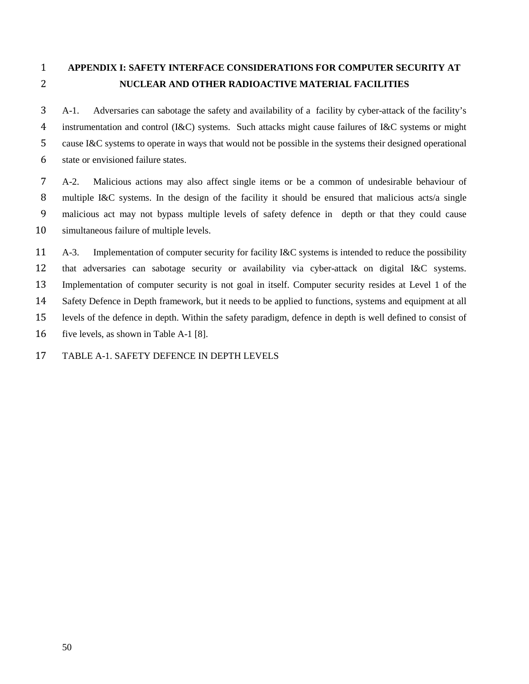# **APPENDIX I: SAFETY INTERFACE CONSIDERATIONS FOR COMPUTER SECURITY AT NUCLEAR AND OTHER RADIOACTIVE MATERIAL FACILITIES**

 A-1. Adversaries can sabotage the safety and availability of a facility by cyber-attack of the facility's instrumentation and control (I&C) systems. Such attacks might cause failures of I&C systems or might cause I&C systems to operate in ways that would not be possible in the systems their designed operational state or envisioned failure states.

 A-2. Malicious actions may also affect single items or be a common of undesirable behaviour of multiple I&C systems. In the design of the facility it should be ensured that malicious acts/a single malicious act may not bypass multiple levels of safety defence in depth or that they could cause simultaneous failure of multiple levels.

 A-3. Implementation of computer security for facility I&C systems is intended to reduce the possibility that adversaries can sabotage security or availability via cyber-attack on digital I&C systems. Implementation of computer security is not goal in itself. Computer security resides at Level 1 of the Safety Defence in Depth framework, but it needs to be applied to functions, systems and equipment at all levels of the defence in depth. Within the safety paradigm, defence in depth is well defined to consist of five levels, as shown in Table A-1 [8].

TABLE A-1. SAFETY DEFENCE IN DEPTH LEVELS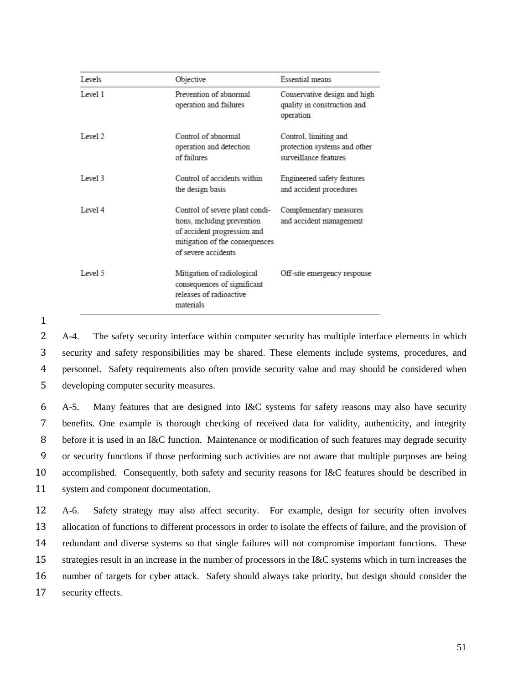| Levels  | Objective                                                                                                                                             | <b>Essential means</b>                                                         |
|---------|-------------------------------------------------------------------------------------------------------------------------------------------------------|--------------------------------------------------------------------------------|
| Level 1 | Prevention of abnormal<br>operation and failures                                                                                                      | Conservative design and high<br>quality in construction and<br>operation       |
| Level 2 | Control of abnormal<br>operation and detection<br>of failures                                                                                         | Control, limiting and<br>protection systems and other<br>surveillance features |
| Level 3 | Control of accidents within<br>the design basis                                                                                                       | Engineered safety features<br>and accident procedures                          |
| Level 4 | Control of severe plant condi-<br>tions, including prevention<br>of accident progression and<br>mitigation of the consequences<br>of severe accidents | Complementary measures<br>and accident management                              |
| Level 5 | Mitigation of radiological<br>consequences of significant<br>releases of radioactive<br>materials                                                     | Off-site emergency response                                                    |

 A-4. The safety security interface within computer security has multiple interface elements in which security and safety responsibilities may be shared. These elements include systems, procedures, and personnel. Safety requirements also often provide security value and may should be considered when developing computer security measures.

 A-5. Many features that are designed into I&C systems for safety reasons may also have security benefits. One example is thorough checking of received data for validity, authenticity, and integrity before it is used in an I&C function. Maintenance or modification of such features may degrade security or security functions if those performing such activities are not aware that multiple purposes are being accomplished. Consequently, both safety and security reasons for I&C features should be described in system and component documentation.

 A-6. Safety strategy may also affect security. For example, design for security often involves allocation of functions to different processors in order to isolate the effects of failure, and the provision of redundant and diverse systems so that single failures will not compromise important functions. These strategies result in an increase in the number of processors in the I&C systems which in turn increases the number of targets for cyber attack. Safety should always take priority, but design should consider the security effects.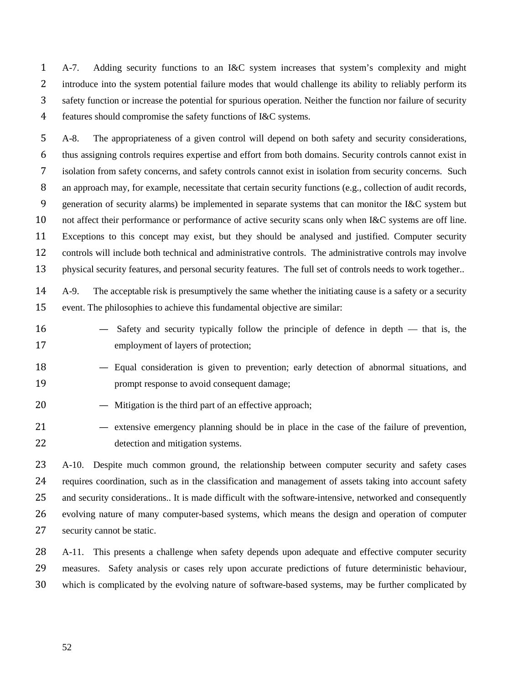A-7. Adding security functions to an I&C system increases that system's complexity and might introduce into the system potential failure modes that would challenge its ability to reliably perform its safety function or increase the potential for spurious operation. Neither the function nor failure of security features should compromise the safety functions of I&C systems.

 A-8. The appropriateness of a given control will depend on both safety and security considerations, thus assigning controls requires expertise and effort from both domains. Security controls cannot exist in isolation from safety concerns, and safety controls cannot exist in isolation from security concerns. Such 8 an approach may, for example, necessitate that certain security functions (e.g., collection of audit records, generation of security alarms) be implemented in separate systems that can monitor the I&C system but not affect their performance or performance of active security scans only when I&C systems are off line. Exceptions to this concept may exist, but they should be analysed and justified. Computer security controls will include both technical and administrative controls. The administrative controls may involve physical security features, and personal security features. The full set of controls needs to work together..

 A-9. The acceptable risk is presumptively the same whether the initiating cause is a safety or a security event. The philosophies to achieve this fundamental objective are similar:

- Safety and security typically follow the principle of defence in depth that is, the employment of layers of protection;
- Equal consideration is given to prevention; early detection of abnormal situations, and **prompt response to avoid consequent damage;**
- Mitigation is the third part of an effective approach;
- extensive emergency planning should be in place in the case of the failure of prevention, detection and mitigation systems.

 A-10. Despite much common ground, the relationship between computer security and safety cases requires coordination, such as in the classification and management of assets taking into account safety and security considerations.. It is made difficult with the software-intensive, networked and consequently evolving nature of many computer-based systems, which means the design and operation of computer security cannot be static.

28 A-11. This presents a challenge when safety depends upon adequate and effective computer security measures. Safety analysis or cases rely upon accurate predictions of future deterministic behaviour, which is complicated by the evolving nature of software-based systems, may be further complicated by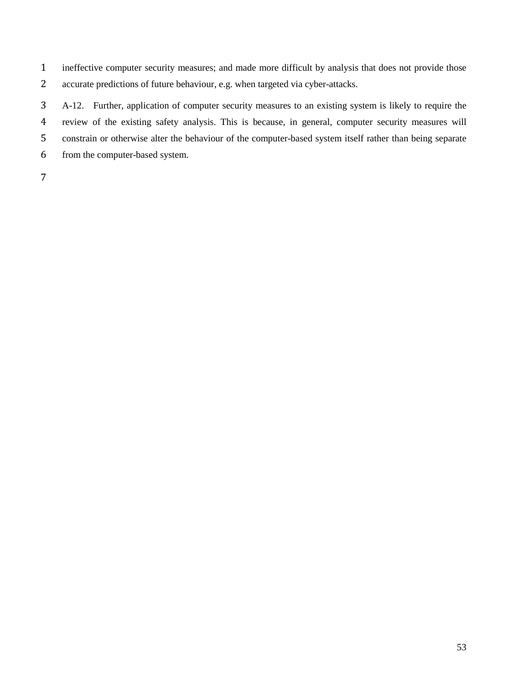ineffective computer security measures; and made more difficult by analysis that does not provide those accurate predictions of future behaviour, e.g. when targeted via cyber-attacks.

 A-12. Further, application of computer security measures to an existing system is likely to require the review of the existing safety analysis. This is because, in general, computer security measures will constrain or otherwise alter the behaviour of the computer-based system itself rather than being separate from the computer-based system.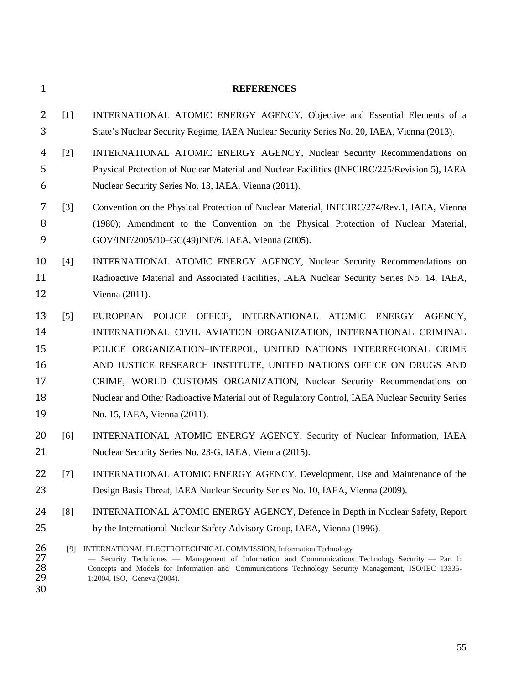#### **REFERENCES**

- [1] INTERNATIONAL ATOMIC ENERGY AGENCY, Objective and Essential Elements of a State's Nuclear Security Regime, IAEA Nuclear Security Series No. 20, IAEA, Vienna (2013).
- [2] INTERNATIONAL ATOMIC ENERGY AGENCY, Nuclear Security Recommendations on Physical Protection of Nuclear Material and Nuclear Facilities (INFCIRC/225/Revision 5), IAEA Nuclear Security Series No. 13, IAEA, Vienna (2011).
- [3] Convention on the Physical Protection of Nuclear Material, INFCIRC/274/Rev.1, IAEA, Vienna (1980); Amendment to the Convention on the Physical Protection of Nuclear Material, GOV/INF/2005/10–GC(49)INF/6, IAEA, Vienna (2005).
- [4] INTERNATIONAL ATOMIC ENERGY AGENCY, Nuclear Security Recommendations on Radioactive Material and Associated Facilities, IAEA Nuclear Security Series No. 14, IAEA, Vienna (2011).
- [5] EUROPEAN POLICE OFFICE, INTERNATIONAL ATOMIC ENERGY AGENCY, INTERNATIONAL CIVIL AVIATION ORGANIZATION, INTERNATIONAL CRIMINAL POLICE ORGANIZATION–INTERPOL, UNITED NATIONS INTERREGIONAL CRIME AND JUSTICE RESEARCH INSTITUTE, UNITED NATIONS OFFICE ON DRUGS AND CRIME, WORLD CUSTOMS ORGANIZATION, Nuclear Security Recommendations on Nuclear and Other Radioactive Material out of Regulatory Control, IAEA Nuclear Security Series No. 15, IAEA, Vienna (2011).
- [6] INTERNATIONAL ATOMIC ENERGY AGENCY, Security of Nuclear Information, IAEA Nuclear Security Series No. 23-G, IAEA, Vienna (2015).
- [7] INTERNATIONAL ATOMIC ENERGY AGENCY, Development, Use and Maintenance of the Design Basis Threat, IAEA Nuclear Security Series No. 10, IAEA, Vienna (2009).
- [8] INTERNATIONAL ATOMIC ENERGY AGENCY, Defence in Depth in Nuclear Safety, Report by the International Nuclear Safety Advisory Group, IAEA, Vienna (1996).
- 26 [9] INTERNATIONAL ELECTROTECHNICAL COMMISSION, Information Technology<br>27 Security Techniques Management of Information and Communications 27 - Security Techniques - Management of Information and Communications Technology Security - Part 1:<br>28 - Concepts and Models for Information and Communications Technology Security Management, ISO/IEC 13335-28 Concepts and Models for Information and Communications Technology Security Management, ISO/IEC 13335-<br>29 1:2004, ISO, Geneva (2004). 1:2004, ISO, Geneva (2004).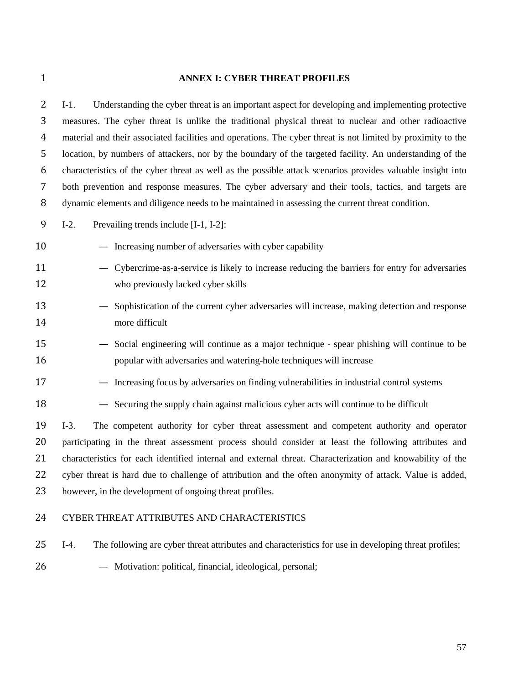#### **ANNEX I: CYBER THREAT PROFILES**

 I-1. Understanding the cyber threat is an important aspect for developing and implementing protective measures. The cyber threat is unlike the traditional physical threat to nuclear and other radioactive material and their associated facilities and operations. The cyber threat is not limited by proximity to the location, by numbers of attackers, nor by the boundary of the targeted facility. An understanding of the characteristics of the cyber threat as well as the possible attack scenarios provides valuable insight into both prevention and response measures. The cyber adversary and their tools, tactics, and targets are dynamic elements and diligence needs to be maintained in assessing the current threat condition.

I-2. Prevailing trends include [I-1, I-2]:

- Increasing number of adversaries with cyber capability
- Cybercrime-as-a-service is likely to increase reducing the barriers for entry for adversaries who previously lacked cyber skills
- Sophistication of the current cyber adversaries will increase, making detection and response more difficult
- Social engineering will continue as a major technique spear phishing will continue to be popular with adversaries and watering-hole techniques will increase
- Increasing focus by adversaries on finding vulnerabilities in industrial control systems
- Securing the supply chain against malicious cyber acts will continue to be difficult

 I-3. The competent authority for cyber threat assessment and competent authority and operator participating in the threat assessment process should consider at least the following attributes and characteristics for each identified internal and external threat. Characterization and knowability of the cyber threat is hard due to challenge of attribution and the often anonymity of attack. Value is added, however, in the development of ongoing threat profiles.

## CYBER THREAT ATTRIBUTES AND CHARACTERISTICS

- I-4. The following are cyber threat attributes and characteristics for use in developing threat profiles;
- 
- Motivation: political, financial, ideological, personal;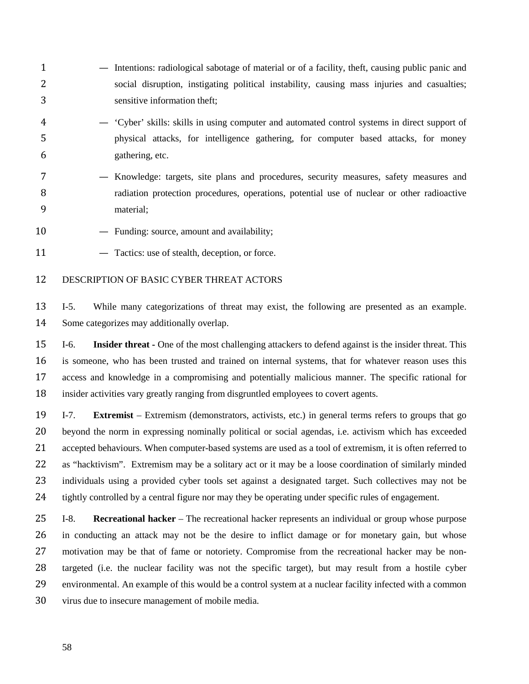- Intentions: radiological sabotage of material or of a facility, theft, causing public panic and social disruption, instigating political instability, causing mass injuries and casualties; sensitive information theft;
- 'Cyber' skills: skills in using computer and automated control systems in direct support of physical attacks, for intelligence gathering, for computer based attacks, for money gathering, etc.
- Knowledge: targets, site plans and procedures, security measures, safety measures and radiation protection procedures, operations, potential use of nuclear or other radioactive material;
- 10 Funding: source, amount and availability;
- 11 Tactics: use of stealth, deception, or force.

## DESCRIPTION OF BASIC CYBER THREAT ACTORS

 I-5. While many categorizations of threat may exist, the following are presented as an example. Some categorizes may additionally overlap.

 I-6. **Insider threat -** One of the most challenging attackers to defend against is the insider threat. This is someone, who has been trusted and trained on internal systems, that for whatever reason uses this access and knowledge in a compromising and potentially malicious manner. The specific rational for insider activities vary greatly ranging from disgruntled employees to covert agents.

 I-7. **Extremist** – Extremism (demonstrators, activists, etc.) in general terms refers to groups that go beyond the norm in expressing nominally political or social agendas, i.e. activism which has exceeded 21 accepted behaviours. When computer-based systems are used as a tool of extremism, it is often referred to as "hacktivism". Extremism may be a solitary act or it may be a loose coordination of similarly minded individuals using a provided cyber tools set against a designated target. Such collectives may not be tightly controlled by a central figure nor may they be operating under specific rules of engagement.

 I-8. **Recreational hacker** – The recreational hacker represents an individual or group whose purpose in conducting an attack may not be the desire to inflict damage or for monetary gain, but whose motivation may be that of fame or notoriety. Compromise from the recreational hacker may be non- targeted (i.e. the nuclear facility was not the specific target), but may result from a hostile cyber environmental. An example of this would be a control system at a nuclear facility infected with a common virus due to insecure management of mobile media.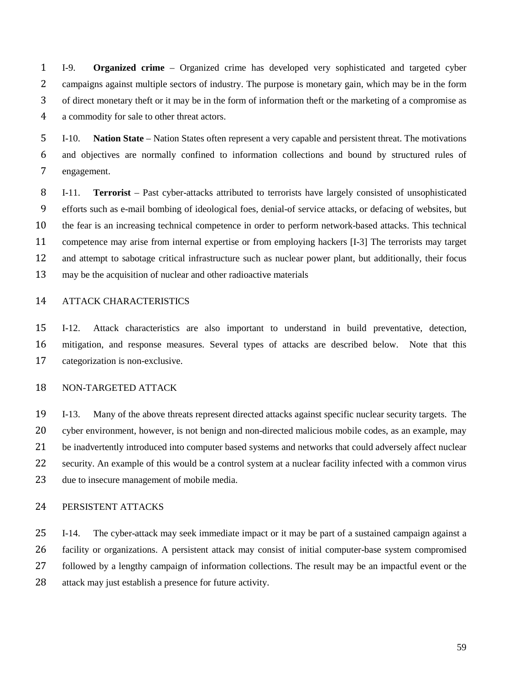I-9. **Organized crime** – Organized crime has developed very sophisticated and targeted cyber campaigns against multiple sectors of industry. The purpose is monetary gain, which may be in the form of direct monetary theft or it may be in the form of information theft or the marketing of a compromise as a commodity for sale to other threat actors.

 I-10. **Nation State** – Nation States often represent a very capable and persistent threat. The motivations and objectives are normally confined to information collections and bound by structured rules of engagement.

 I-11. **Terrorist** – Past cyber-attacks attributed to terrorists have largely consisted of unsophisticated efforts such as e-mail bombing of ideological foes, denial-of service attacks, or defacing of websites, but the fear is an increasing technical competence in order to perform network-based attacks. This technical competence may arise from internal expertise or from employing hackers [I-3] The terrorists may target and attempt to sabotage critical infrastructure such as nuclear power plant, but additionally, their focus may be the acquisition of nuclear and other radioactive materials

## ATTACK CHARACTERISTICS

 I-12. Attack characteristics are also important to understand in build preventative, detection, mitigation, and response measures. Several types of attacks are described below. Note that this categorization is non-exclusive.

## NON-TARGETED ATTACK

 I-13. Many of the above threats represent directed attacks against specific nuclear security targets. The cyber environment, however, is not benign and non-directed malicious mobile codes, as an example, may 21 be inadvertently introduced into computer based systems and networks that could adversely affect nuclear security. An example of this would be a control system at a nuclear facility infected with a common virus due to insecure management of mobile media.

## PERSISTENT ATTACKS

 I-14. The cyber-attack may seek immediate impact or it may be part of a sustained campaign against a facility or organizations. A persistent attack may consist of initial computer-base system compromised followed by a lengthy campaign of information collections. The result may be an impactful event or the attack may just establish a presence for future activity.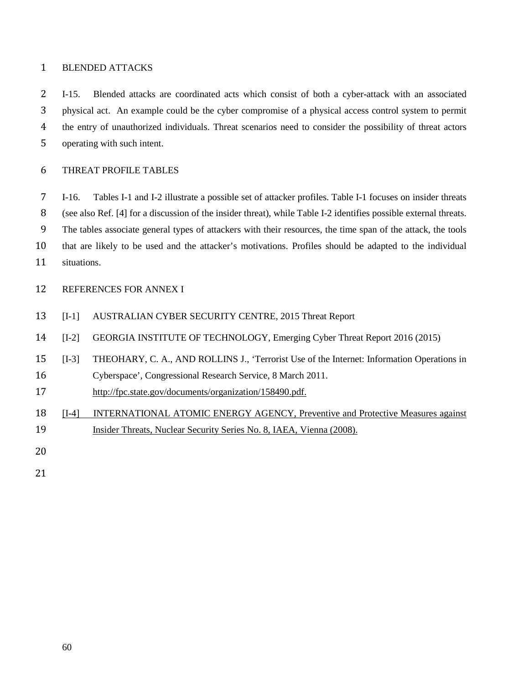## BLENDED ATTACKS

 I-15. Blended attacks are coordinated acts which consist of both a cyber-attack with an associated physical act. An example could be the cyber compromise of a physical access control system to permit the entry of unauthorized individuals. Threat scenarios need to consider the possibility of threat actors operating with such intent.

## THREAT PROFILE TABLES

 I-16. Tables I-1 and I-2 illustrate a possible set of attacker profiles. Table I-1 focuses on insider threats (see also Ref. [4] for a discussion of the insider threat), while Table I-2 identifies possible external threats. The tables associate general types of attackers with their resources, the time span of the attack, the tools that are likely to be used and the attacker's motivations. Profiles should be adapted to the individual situations.

## REFERENCES FOR ANNEX I

- [I-1] AUSTRALIAN CYBER SECURITY CENTRE, 2015 Threat Report
- [I-2] GEORGIA INSTITUTE OF TECHNOLOGY, Emerging Cyber Threat Report 2016 (2015)
- [I-3] THEOHARY, C. A., AND ROLLINS J., 'Terrorist Use of the Internet: Information Operations in
- Cyberspace', Congressional Research Service, 8 March 2011.
- [http://fpc.state.gov/documents/organization/158490.pdf.](http://fpc.state.gov/documents/organization/158490.pdf)
- [I-4] INTERNATIONAL ATOMIC ENERGY AGENCY, Preventive and Protective Measures against 19 Insider Threats, Nuclear Security Series No. 8, IAEA, Vienna (2008).
- 
-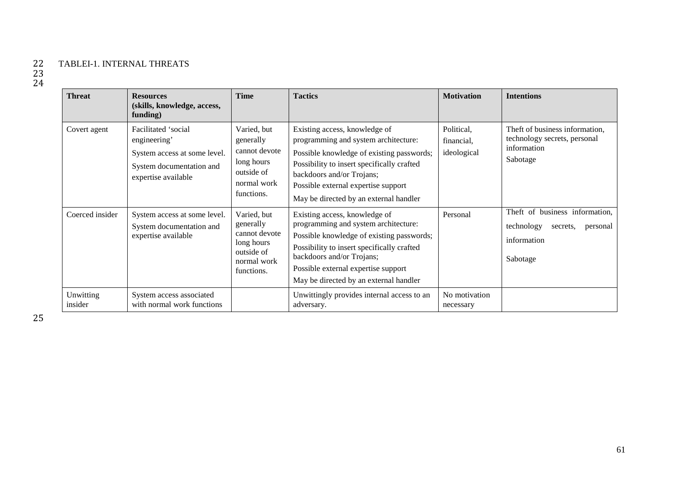# 22 TABLEI-1. INTERNAL THREATS

| <b>Threat</b>        | <b>Resources</b><br>(skills, knowledge, access,<br>funding)                                                            | Time                                                                                               | <b>Tactics</b>                                                                                                                                                                                                                                                                 | <b>Motivation</b>                       | <b>Intentions</b>                                                                               |
|----------------------|------------------------------------------------------------------------------------------------------------------------|----------------------------------------------------------------------------------------------------|--------------------------------------------------------------------------------------------------------------------------------------------------------------------------------------------------------------------------------------------------------------------------------|-----------------------------------------|-------------------------------------------------------------------------------------------------|
| Covert agent         | Facilitated 'social<br>engineering'<br>System access at some level.<br>System documentation and<br>expertise available | Varied, but<br>generally<br>cannot devote<br>long hours<br>outside of<br>normal work<br>functions. | Existing access, knowledge of<br>programming and system architecture:<br>Possible knowledge of existing passwords;<br>Possibility to insert specifically crafted<br>backdoors and/or Trojans;<br>Possible external expertise support<br>May be directed by an external handler | Political,<br>financial,<br>ideological | Theft of business information.<br>technology secrets, personal<br>information<br>Sabotage       |
| Coerced insider      | System access at some level.<br>System documentation and<br>expertise available                                        | Varied, but<br>generally<br>cannot devote<br>long hours<br>outside of<br>normal work<br>functions. | Existing access, knowledge of<br>programming and system architecture:<br>Possible knowledge of existing passwords;<br>Possibility to insert specifically crafted<br>backdoors and/or Trojans;<br>Possible external expertise support<br>May be directed by an external handler | Personal                                | Theft of business information,<br>technology<br>secrets.<br>personal<br>information<br>Sabotage |
| Unwitting<br>insider | System access associated<br>with normal work functions                                                                 |                                                                                                    | Unwittingly provides internal access to an<br>adversary.                                                                                                                                                                                                                       | No motivation<br>necessary              |                                                                                                 |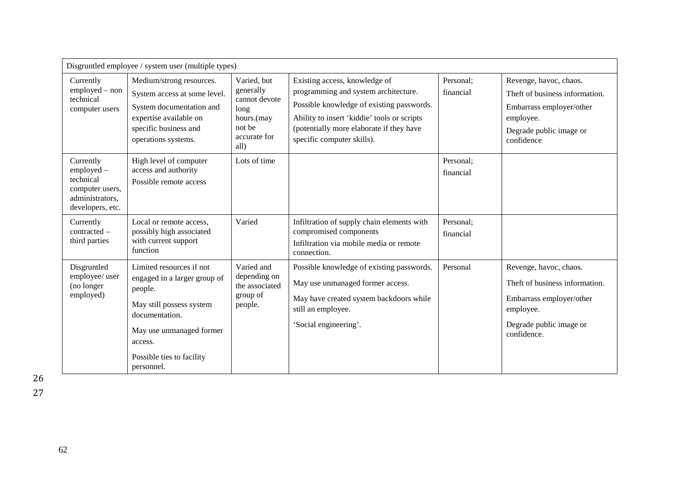| Disgruntled employee / system user (multiple types)                                            |                                                                                                                                                                                                     |                                                                                                   |                                                                                                                                                                                                                                             |                        |                                                                                                                                             |
|------------------------------------------------------------------------------------------------|-----------------------------------------------------------------------------------------------------------------------------------------------------------------------------------------------------|---------------------------------------------------------------------------------------------------|---------------------------------------------------------------------------------------------------------------------------------------------------------------------------------------------------------------------------------------------|------------------------|---------------------------------------------------------------------------------------------------------------------------------------------|
| Currently<br>employed - non<br>technical<br>computer users                                     | Medium/strong resources.<br>System access at some level.<br>System documentation and<br>expertise available on<br>specific business and<br>operations systems.                                      | Varied, but<br>generally<br>cannot devote<br>long<br>hours.(may<br>not be<br>accurate for<br>all) | Existing access, knowledge of<br>programming and system architecture.<br>Possible knowledge of existing passwords.<br>Ability to insert 'kiddie' tools or scripts<br>(potentially more elaborate if they have<br>specific computer skills). | Personal;<br>financial | Revenge, havoc, chaos.<br>Theft of business information.<br>Embarrass employer/other<br>employee.<br>Degrade public image or<br>confidence  |
| Currently<br>employed -<br>technical<br>computer users,<br>administrators,<br>developers, etc. | High level of computer<br>access and authority<br>Possible remote access                                                                                                                            | Lots of time                                                                                      |                                                                                                                                                                                                                                             | Personal;<br>financial |                                                                                                                                             |
| Currently<br>contracted -<br>third parties                                                     | Local or remote access,<br>possibly high associated<br>with current support<br>function                                                                                                             | Varied                                                                                            | Infiltration of supply chain elements with<br>compromised components<br>Infiltration via mobile media or remote<br>connection.                                                                                                              | Personal;<br>financial |                                                                                                                                             |
| Disgruntled<br>employee/ user<br>(no longer<br>employed)                                       | Limited resources if not<br>engaged in a larger group of<br>people.<br>May still possess system<br>documentation.<br>May use unmanaged former<br>access.<br>Possible ties to facility<br>personnel. | Varied and<br>depending on<br>the associated<br>group of<br>people.                               | Possible knowledge of existing passwords.<br>May use unmanaged former access.<br>May have created system backdoors while<br>still an employee.<br>'Social engineering'.                                                                     | Personal               | Revenge, havoc, chaos.<br>Theft of business information.<br>Embarrass employer/other<br>employee.<br>Degrade public image or<br>confidence. |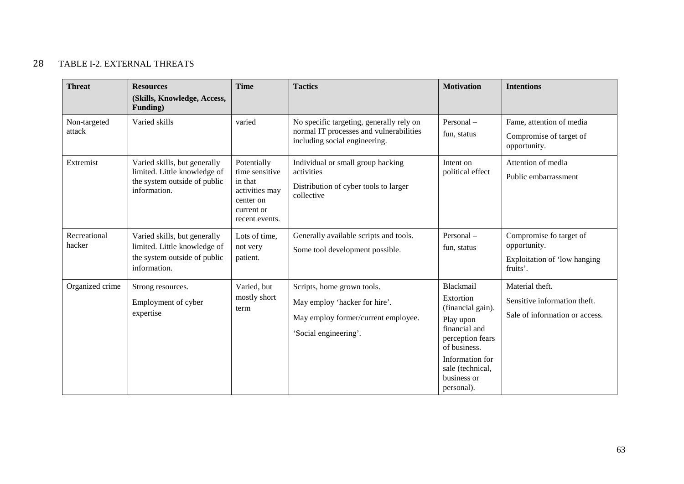## 28 TABLE I-2. EXTERNAL THREATS

| <b>Threat</b>          | <b>Resources</b><br>(Skills, Knowledge, Access,<br>Funding)                                                  | <b>Time</b>                                                                                             | <b>Tactics</b>                                                                                                              | <b>Motivation</b>                                                                                                                                                                 | <b>Intentions</b>                                                                   |
|------------------------|--------------------------------------------------------------------------------------------------------------|---------------------------------------------------------------------------------------------------------|-----------------------------------------------------------------------------------------------------------------------------|-----------------------------------------------------------------------------------------------------------------------------------------------------------------------------------|-------------------------------------------------------------------------------------|
| Non-targeted<br>attack | Varied skills                                                                                                | varied                                                                                                  | No specific targeting, generally rely on<br>normal IT processes and vulnerabilities<br>including social engineering.        | Personal-<br>fun, status                                                                                                                                                          | Fame, attention of media<br>Compromise of target of<br>opportunity.                 |
| Extremist              | Varied skills, but generally<br>limited. Little knowledge of<br>the system outside of public<br>information. | Potentially<br>time sensitive<br>in that<br>activities may<br>center on<br>current or<br>recent events. | Individual or small group hacking<br>activities<br>Distribution of cyber tools to larger<br>collective                      | Intent on<br>political effect                                                                                                                                                     | Attention of media<br>Public embarrassment                                          |
| Recreational<br>hacker | Varied skills, but generally<br>limited. Little knowledge of<br>the system outside of public<br>information. | Lots of time,<br>not very<br>patient.                                                                   | Generally available scripts and tools.<br>Some tool development possible.                                                   | Personal-<br>fun, status                                                                                                                                                          | Compromise fo target of<br>opportunity.<br>Exploitation of 'low hanging<br>fruits'. |
| Organized crime        | Strong resources.<br>Employment of cyber<br>expertise                                                        | Varied, but<br>mostly short<br>term                                                                     | Scripts, home grown tools.<br>May employ 'hacker for hire'.<br>May employ former/current employee.<br>'Social engineering'. | Blackmail<br>Extortion<br>(financial gain).<br>Play upon<br>financial and<br>perception fears<br>of business.<br>Information for<br>sale (technical,<br>business or<br>personal). | Material theft.<br>Sensitive information theft.<br>Sale of information or access.   |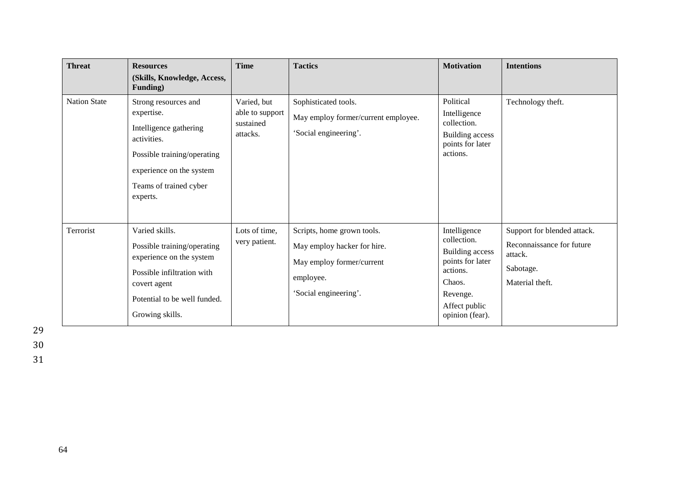| <b>Threat</b>       | <b>Resources</b><br>(Skills, Knowledge, Access,                                                                                                                                          | <b>Time</b>                                             | <b>Tactics</b>                                                                                                               | <b>Motivation</b>                                                                                                                               | <b>Intentions</b>                                                                                   |
|---------------------|------------------------------------------------------------------------------------------------------------------------------------------------------------------------------------------|---------------------------------------------------------|------------------------------------------------------------------------------------------------------------------------------|-------------------------------------------------------------------------------------------------------------------------------------------------|-----------------------------------------------------------------------------------------------------|
| <b>Nation State</b> | Funding)<br>Strong resources and<br>expertise.<br>Intelligence gathering<br>activities.<br>Possible training/operating<br>experience on the system<br>Teams of trained cyber<br>experts. | Varied, but<br>able to support<br>sustained<br>attacks. | Sophisticated tools.<br>May employ former/current employee.<br>'Social engineering'.                                         | Political<br>Intelligence<br>collection.<br><b>Building access</b><br>points for later<br>actions.                                              | Technology theft.                                                                                   |
| Terrorist           | Varied skills.<br>Possible training/operating<br>experience on the system<br>Possible infiltration with<br>covert agent<br>Potential to be well funded.<br>Growing skills.               | Lots of time,<br>very patient.                          | Scripts, home grown tools.<br>May employ hacker for hire.<br>May employ former/current<br>employee.<br>'Social engineering'. | Intelligence<br>collection.<br><b>Building access</b><br>points for later<br>actions.<br>Chaos.<br>Revenge.<br>Affect public<br>opinion (fear). | Support for blended attack.<br>Reconnaissance for future<br>attack.<br>Sabotage.<br>Material theft. |

29 30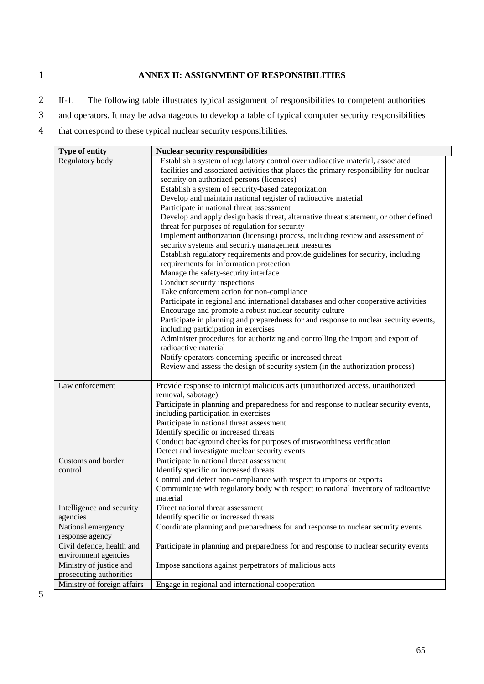## 1 **ANNEX II: ASSIGNMENT OF RESPONSIBILITIES**

- 2 II-1. The following table illustrates typical assignment of responsibilities to competent authorities
- 3 and operators. It may be advantageous to develop a table of typical computer security responsibilities
- 4 that correspond to these typical nuclear security responsibilities.

| Type of entity              | <b>Nuclear security responsibilities</b>                                                |
|-----------------------------|-----------------------------------------------------------------------------------------|
| Regulatory body             | Establish a system of regulatory control over radioactive material, associated          |
|                             | facilities and associated activities that places the primary responsibility for nuclear |
|                             | security on authorized persons (licensees)                                              |
|                             | Establish a system of security-based categorization                                     |
|                             | Develop and maintain national register of radioactive material                          |
|                             | Participate in national threat assessment                                               |
|                             | Develop and apply design basis threat, alternative threat statement, or other defined   |
|                             | threat for purposes of regulation for security                                          |
|                             | Implement authorization (licensing) process, including review and assessment of         |
|                             | security systems and security management measures                                       |
|                             | Establish regulatory requirements and provide guidelines for security, including        |
|                             | requirements for information protection                                                 |
|                             | Manage the safety-security interface                                                    |
|                             | Conduct security inspections                                                            |
|                             | Take enforcement action for non-compliance                                              |
|                             | Participate in regional and international databases and other cooperative activities    |
|                             | Encourage and promote a robust nuclear security culture                                 |
|                             | Participate in planning and preparedness for and response to nuclear security events,   |
|                             | including participation in exercises                                                    |
|                             | Administer procedures for authorizing and controlling the import and export of          |
|                             | radioactive material                                                                    |
|                             | Notify operators concerning specific or increased threat                                |
|                             | Review and assess the design of security system (in the authorization process)          |
| Law enforcement             | Provide response to interrupt malicious acts (unauthorized access, unauthorized         |
|                             | removal, sabotage)                                                                      |
|                             | Participate in planning and preparedness for and response to nuclear security events,   |
|                             | including participation in exercises                                                    |
|                             | Participate in national threat assessment                                               |
|                             | Identify specific or increased threats                                                  |
|                             | Conduct background checks for purposes of trustworthiness verification                  |
|                             | Detect and investigate nuclear security events                                          |
| Customs and border          | Participate in national threat assessment                                               |
| control                     | Identify specific or increased threats                                                  |
|                             | Control and detect non-compliance with respect to imports or exports                    |
|                             | Communicate with regulatory body with respect to national inventory of radioactive      |
|                             | material                                                                                |
| Intelligence and security   | Direct national threat assessment                                                       |
| agencies                    | Identify specific or increased threats                                                  |
| National emergency          | Coordinate planning and preparedness for and response to nuclear security events        |
| response agency             |                                                                                         |
| Civil defence, health and   | Participate in planning and preparedness for and response to nuclear security events    |
| environment agencies        |                                                                                         |
| Ministry of justice and     | Impose sanctions against perpetrators of malicious acts                                 |
| prosecuting authorities     |                                                                                         |
| Ministry of foreign affairs | Engage in regional and international cooperation                                        |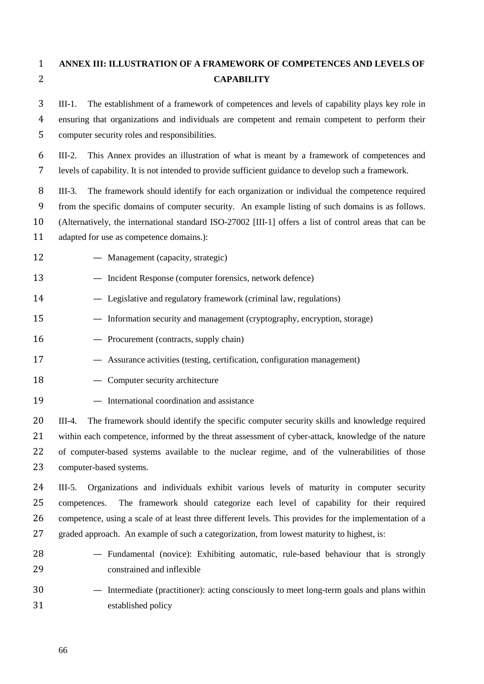# **ANNEX III: ILLUSTRATION OF A FRAMEWORK OF COMPETENCES AND LEVELS OF CAPABILITY**

 III-1. The establishment of a framework of competences and levels of capability plays key role in ensuring that organizations and individuals are competent and remain competent to perform their computer security roles and responsibilities.

 III-2. This Annex provides an illustration of what is meant by a framework of competences and levels of capability. It is not intended to provide sufficient guidance to develop such a framework.

 III-3. The framework should identify for each organization or individual the competence required from the specific domains of computer security. An example listing of such domains is as follows. (Alternatively, the international standard ISO-27002 [III-1] offers a list of control areas that can be

- adapted for use as competence domains.):
- Management (capacity, strategic)
- Incident Response (computer forensics, network defence)
- Legislative and regulatory framework (criminal law, regulations)
- Information security and management (cryptography, encryption, storage)
- Procurement (contracts, supply chain)
- Assurance activities (testing, certification, configuration management)
- 18 Computer security architecture
- International coordination and assistance

 III-4. The framework should identify the specific computer security skills and knowledge required within each competence, informed by the threat assessment of cyber-attack, knowledge of the nature 22 of computer-based systems available to the nuclear regime, and of the vulnerabilities of those computer-based systems.

 III-5. Organizations and individuals exhibit various levels of maturity in computer security competences. The framework should categorize each level of capability for their required competence, using a scale of at least three different levels. This provides for the implementation of a graded approach. An example of such a categorization, from lowest maturity to highest, is:

- Fundamental (novice): Exhibiting automatic, rule-based behaviour that is strongly constrained and inflexible
- Intermediate (practitioner): acting consciously to meet long-term goals and plans within established policy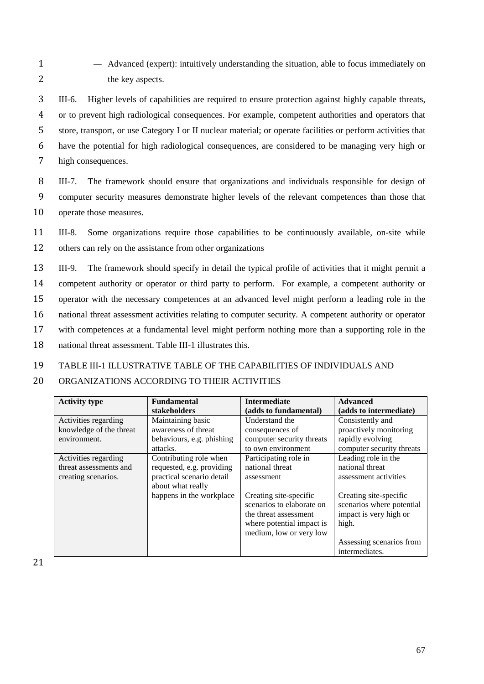1 — Advanced (expert): intuitively understanding the situation, able to focus immediately on 2 the key aspects.

 III-6. Higher levels of capabilities are required to ensure protection against highly capable threats, or to prevent high radiological consequences. For example, competent authorities and operators that store, transport, or use Category I or II nuclear material; or operate facilities or perform activities that have the potential for high radiological consequences, are considered to be managing very high or high consequences.

8 III-7. The framework should ensure that organizations and individuals responsible for design of 9 computer security measures demonstrate higher levels of the relevant competences than those that 10 operate those measures.

11 III-8. Some organizations require those capabilities to be continuously available, on-site while 12 others can rely on the assistance from other organizations

 III-9. The framework should specify in detail the typical profile of activities that it might permit a competent authority or operator or third party to perform. For example, a competent authority or operator with the necessary competences at an advanced level might perform a leading role in the national threat assessment activities relating to computer security. A competent authority or operator with competences at a fundamental level might perform nothing more than a supporting role in the national threat assessment. Table III-1 illustrates this.

## 19 TABLE III-1 ILLUSTRATIVE TABLE OF THE CAPABILITIES OF INDIVIDUALS AND

## 20 ORGANIZATIONS ACCORDING TO THEIR ACTIVITIES

| <b>Activity type</b>    | <b>Fundamental</b>        | <b>Intermediate</b>       | <b>Advanced</b>           |
|-------------------------|---------------------------|---------------------------|---------------------------|
|                         | stakeholders              | (adds to fundamental)     | (adds to intermediate)    |
| Activities regarding    | Maintaining basic         | Understand the            | Consistently and          |
| knowledge of the threat | awareness of threat       | consequences of           | proactively monitoring    |
| environment.            | behaviours, e.g. phishing | computer security threats | rapidly evolving          |
|                         | attacks.                  | to own environment        | computer security threats |
| Activities regarding    | Contributing role when    | Participating role in     | Leading role in the       |
| threat assessments and  | requested, e.g. providing | national threat           | national threat           |
| creating scenarios.     | practical scenario detail | assessment                | assessment activities     |
|                         | about what really         |                           |                           |
|                         | happens in the workplace  | Creating site-specific    | Creating site-specific    |
|                         |                           | scenarios to elaborate on | scenarios where potential |
|                         |                           | the threat assessment     | impact is very high or    |
|                         |                           | where potential impact is | high.                     |
|                         |                           | medium, low or very low   |                           |
|                         |                           |                           | Assessing scenarios from  |
|                         |                           |                           | intermediates.            |

21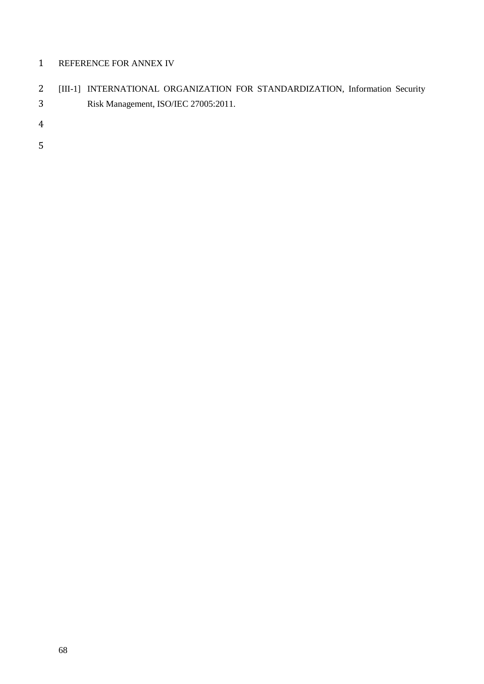## REFERENCE FOR ANNEX IV

| [III-1] INTERNATIONAL ORGANIZATION FOR STANDARDIZATION, Information Security |
|------------------------------------------------------------------------------|
| Risk Management, ISO/IEC 27005:2011.                                         |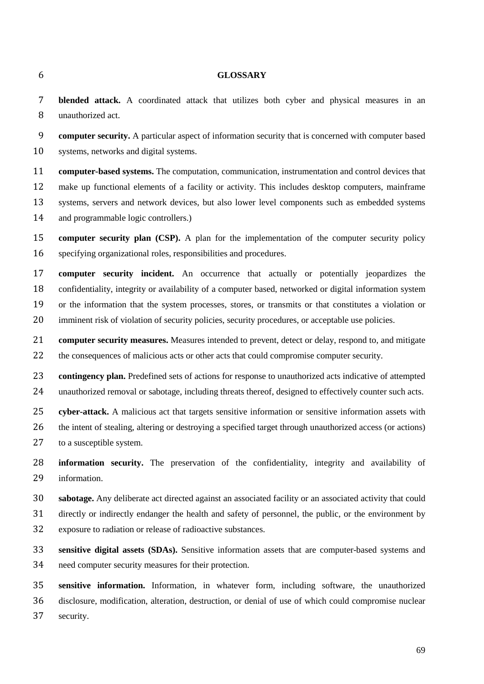## **GLOSSARY**

 **blended attack.** A coordinated attack that utilizes both cyber and physical measures in an unauthorized act.

 **computer security.** A particular aspect of information security that is concerned with computer based systems, networks and digital systems.

 **computer-based systems.** The computation, communication, instrumentation and control devices that make up functional elements of a facility or activity. This includes desktop computers, mainframe systems, servers and network devices, but also lower level components such as embedded systems and programmable logic controllers.)

 **computer security plan (CSP).** A plan for the implementation of the computer security policy specifying organizational roles, responsibilities and procedures.

 **computer security incident.** An occurrence that actually or potentially jeopardizes the confidentiality, integrity or availability of a computer based, networked or digital information system or the information that the system processes, stores, or transmits or that constitutes a violation or 20 imminent risk of violation of security policies, security procedures, or acceptable use policies.

 **computer security measures.** Measures intended to prevent, detect or delay, respond to, and mitigate 22 the consequences of malicious acts or other acts that could compromise computer security.

 **contingency plan.** Predefined sets of actions for response to unauthorized acts indicative of attempted unauthorized removal or sabotage, including threats thereof, designed to effectively counter such acts.

**cyber-attack.** A malicious act that targets sensitive information or sensitive information assets with

 the intent of stealing, altering or destroying a specified target through unauthorized access (or actions) 27 to a susceptible system.

 **information security.** The preservation of the confidentiality, integrity and availability of information.

**sabotage.** Any deliberate act directed against an associated facility or an associated activity that could

 directly or indirectly endanger the health and safety of personnel, the public, or the environment by exposure to radiation or release of radioactive substances.

 **sensitive digital assets (SDAs).** Sensitive information assets that are computer-based systems and need computer security measures for their protection.

 **sensitive information.** Information, in whatever form, including software, the unauthorized disclosure, modification, alteration, destruction, or denial of use of which could compromise nuclear security.